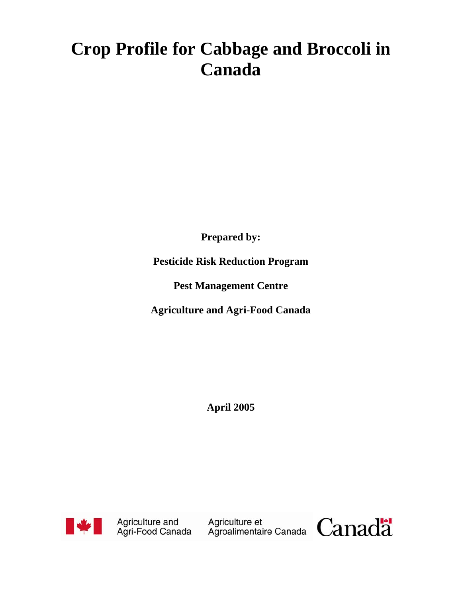# **Crop Profile for Cabbage and Broccoli in Canada**

**Prepared by:** 

**Pesticide Risk Reduction Program** 

**Pest Management Centre** 

**Agriculture and Agri-Food Canada** 

**April 2005** 



Agriculture and Agriculture et<br>Agri-Food Canada Agroalimentaire Canada Canada

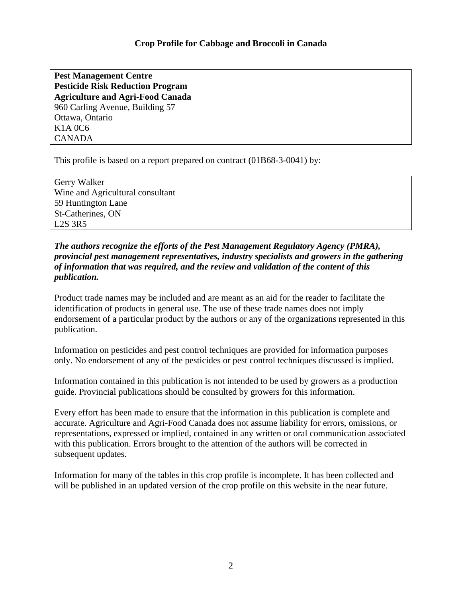**Pest Management Centre Pesticide Risk Reduction Program Agriculture and Agri-Food Canada**  960 Carling Avenue, Building 57 Ottawa, Ontario K1A 0C6 CANADA

This profile is based on a report prepared on contract (01B68-3-0041) by:

Gerry Walker Wine and Agricultural consultant 59 Huntington Lane St-Catherines, ON L2S 3R5

## *The authors recognize the efforts of the Pest Management Regulatory Agency (PMRA), provincial pest management representatives, industry specialists and growers in the gathering of information that was required, and the review and validation of the content of this publication.*

Product trade names may be included and are meant as an aid for the reader to facilitate the identification of products in general use. The use of these trade names does not imply endorsement of a particular product by the authors or any of the organizations represented in this publication.

Information on pesticides and pest control techniques are provided for information purposes only. No endorsement of any of the pesticides or pest control techniques discussed is implied.

Information contained in this publication is not intended to be used by growers as a production guide. Provincial publications should be consulted by growers for this information.

Every effort has been made to ensure that the information in this publication is complete and accurate. Agriculture and Agri-Food Canada does not assume liability for errors, omissions, or representations, expressed or implied, contained in any written or oral communication associated with this publication. Errors brought to the attention of the authors will be corrected in subsequent updates.

Information for many of the tables in this crop profile is incomplete. It has been collected and will be published in an updated version of the crop profile on this website in the near future.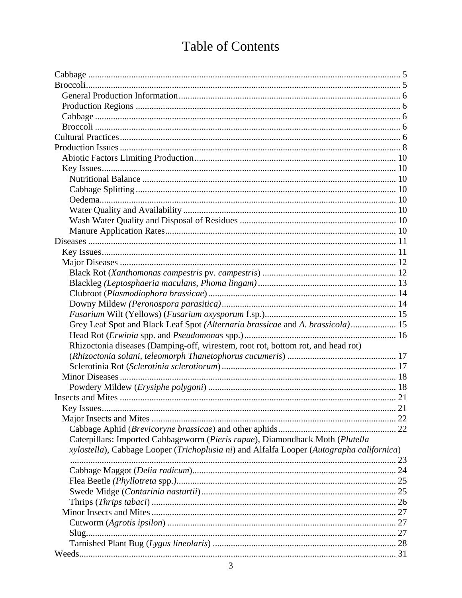## **Table of Contents**

| Grey Leaf Spot and Black Leaf Spot (Alternaria brassicae and A. brassicola) 15            |  |
|-------------------------------------------------------------------------------------------|--|
|                                                                                           |  |
| Rhizoctonia diseases (Damping-off, wirestem, root rot, bottom rot, and head rot)          |  |
|                                                                                           |  |
|                                                                                           |  |
|                                                                                           |  |
|                                                                                           |  |
|                                                                                           |  |
|                                                                                           |  |
|                                                                                           |  |
|                                                                                           |  |
| Caterpillars: Imported Cabbageworm (Pieris rapae), Diamondback Moth (Plutella             |  |
| xylostella), Cabbage Looper (Trichoplusia ni) and Alfalfa Looper (Autographa californica) |  |
|                                                                                           |  |
|                                                                                           |  |
|                                                                                           |  |
|                                                                                           |  |
|                                                                                           |  |
|                                                                                           |  |
|                                                                                           |  |
|                                                                                           |  |
|                                                                                           |  |
|                                                                                           |  |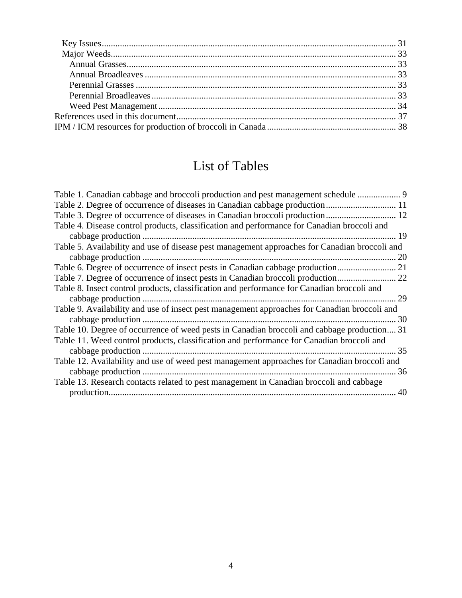## List of Tables

| Table 1. Canadian cabbage and broccoli production and pest management schedule                |
|-----------------------------------------------------------------------------------------------|
| Table 2. Degree of occurrence of diseases in Canadian cabbage production 11                   |
|                                                                                               |
| Table 4. Disease control products, classification and performance for Canadian broccoli and   |
|                                                                                               |
| Table 5. Availability and use of disease pest management approaches for Canadian broccoli and |
| 20                                                                                            |
|                                                                                               |
|                                                                                               |
| Table 8. Insect control products, classification and performance for Canadian broccoli and    |
|                                                                                               |
| Table 9. Availability and use of insect pest management approaches for Canadian broccoli and  |
| 30                                                                                            |
| Table 10. Degree of occurrence of weed pests in Canadian broccoli and cabbage production 31   |
| Table 11. Weed control products, classification and performance for Canadian broccoli and     |
|                                                                                               |
| Table 12. Availability and use of weed pest management approaches for Canadian broccoli and   |
|                                                                                               |
| Table 13. Research contacts related to pest management in Canadian broccoli and cabbage       |
| 40                                                                                            |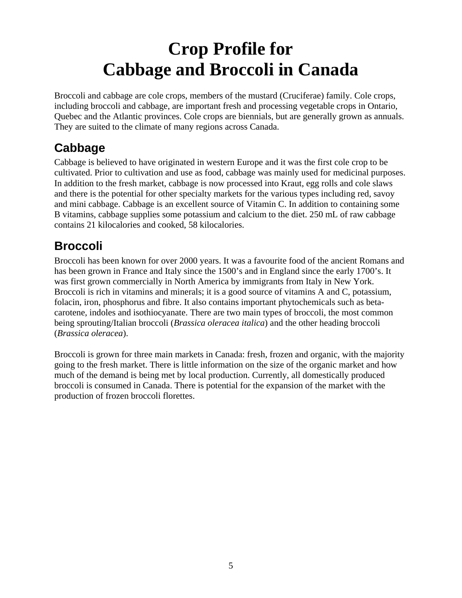# **Crop Profile for Cabbage and Broccoli in Canada**

<span id="page-4-0"></span>Broccoli and cabbage are cole crops, members of the mustard (Cruciferae) family. Cole crops, including broccoli and cabbage, are important fresh and processing vegetable crops in Ontario, Quebec and the Atlantic provinces. Cole crops are biennials, but are generally grown as annuals. They are suited to the climate of many regions across Canada.

## **Cabbage**

Cabbage is believed to have originated in western Europe and it was the first cole crop to be cultivated. Prior to cultivation and use as food, cabbage was mainly used for medicinal purposes. In addition to the fresh market, cabbage is now processed into Kraut, egg rolls and cole slaws and there is the potential for other specialty markets for the various types including red, savoy and mini cabbage. Cabbage is an excellent source of Vitamin C. In addition to containing some B vitamins, cabbage supplies some potassium and calcium to the diet. 250 mL of raw cabbage contains 21 kilocalories and cooked, 58 kilocalories.

## **Broccoli**

Broccoli has been known for over 2000 years. It was a favourite food of the ancient Romans and has been grown in France and Italy since the 1500's and in England since the early 1700's. It was first grown commercially in North America by immigrants from Italy in New York. Broccoli is rich in vitamins and minerals; it is a good source of vitamins A and C, potassium, folacin, iron, phosphorus and fibre. It also contains important phytochemicals such as betacarotene, indoles and isothiocyanate. There are two main types of broccoli, the most common being sprouting/Italian broccoli (*Brassica oleracea italica*) and the other heading broccoli (*Brassica oleracea*).

Broccoli is grown for three main markets in Canada: fresh, frozen and organic, with the majority going to the fresh market. There is little information on the size of the organic market and how much of the demand is being met by local production. Currently, all domestically produced broccoli is consumed in Canada. There is potential for the expansion of the market with the production of frozen broccoli florettes.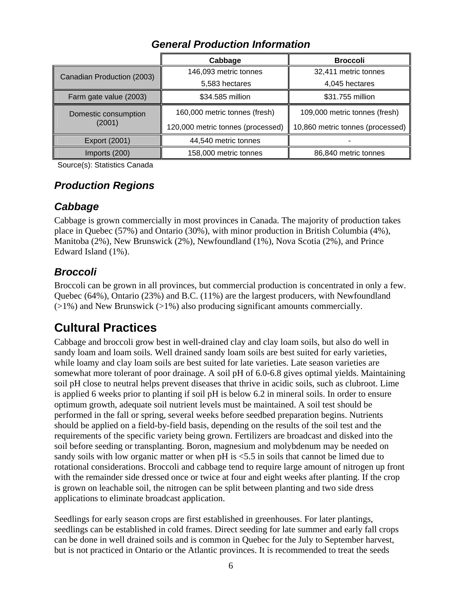<span id="page-5-0"></span>

|                            | Cabbage                           | <b>Broccoli</b>                  |  |  |
|----------------------------|-----------------------------------|----------------------------------|--|--|
| Canadian Production (2003) | 146,093 metric tonnes             | 32,411 metric tonnes             |  |  |
|                            | 5,583 hectares                    | 4,045 hectares                   |  |  |
| Farm gate value (2003)     | \$34.585 million                  | \$31.755 million                 |  |  |
| Domestic consumption       | 160,000 metric tonnes (fresh)     | 109,000 metric tonnes (fresh)    |  |  |
| (2001)                     | 120,000 metric tonnes (processed) | 10,860 metric tonnes (processed) |  |  |
| Export (2001)              | 44,540 metric tonnes              |                                  |  |  |
| Imports (200)              | 158,000 metric tonnes             | 86,840 metric tonnes             |  |  |

## *General Production Information*

Source(s): Statistics Canada

## *Production Regions*

## *Cabbage*

Cabbage is grown commercially in most provinces in Canada. The majority of production takes place in Quebec (57%) and Ontario (30%), with minor production in British Columbia (4%), Manitoba (2%), New Brunswick (2%), Newfoundland (1%), Nova Scotia (2%), and Prince Edward Island (1%).

## *Broccoli*

Broccoli can be grown in all provinces, but commercial production is concentrated in only a few. Quebec (64%), Ontario (23%) and B.C. (11%) are the largest producers, with Newfoundland  $(>1%)$  and New Brunswick  $(>1%)$  also producing significant amounts commercially.

## **Cultural Practices**

Cabbage and broccoli grow best in well-drained clay and clay loam soils, but also do well in sandy loam and loam soils. Well drained sandy loam soils are best suited for early varieties, while loamy and clay loam soils are best suited for late varieties. Late season varieties are somewhat more tolerant of poor drainage. A soil pH of 6.0-6.8 gives optimal yields. Maintaining soil pH close to neutral helps prevent diseases that thrive in acidic soils, such as clubroot. Lime is applied 6 weeks prior to planting if soil pH is below 6.2 in mineral soils. In order to ensure optimum growth, adequate soil nutrient levels must be maintained. A soil test should be performed in the fall or spring, several weeks before seedbed preparation begins. Nutrients should be applied on a field-by-field basis, depending on the results of the soil test and the requirements of the specific variety being grown. Fertilizers are broadcast and disked into the soil before seeding or transplanting. Boron, magnesium and molybdenum may be needed on sandy soils with low organic matter or when pH is <5.5 in soils that cannot be limed due to rotational considerations. Broccoli and cabbage tend to require large amount of nitrogen up front with the remainder side dressed once or twice at four and eight weeks after planting. If the crop is grown on leachable soil, the nitrogen can be split between planting and two side dress applications to eliminate broadcast application.

Seedlings for early season crops are first established in greenhouses. For later plantings, seedlings can be established in cold frames. Direct seeding for late summer and early fall crops can be done in well drained soils and is common in Quebec for the July to September harvest, but is not practiced in Ontario or the Atlantic provinces. It is recommended to treat the seeds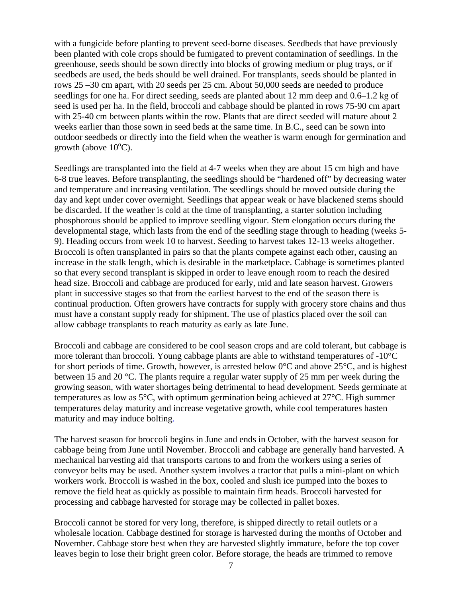with a fungicide before planting to prevent seed-borne diseases. Seedbeds that have previously been planted with cole crops should be fumigated to prevent contamination of seedlings. In the greenhouse, seeds should be sown directly into blocks of growing medium or plug trays, or if seedbeds are used, the beds should be well drained. For transplants, seeds should be planted in rows 25 –30 cm apart, with 20 seeds per 25 cm. About 50,000 seeds are needed to produce seedlings for one ha. For direct seeding, seeds are planted about 12 mm deep and 0.6–1.2 kg of seed is used per ha. In the field, broccoli and cabbage should be planted in rows 75-90 cm apart with 25-40 cm between plants within the row. Plants that are direct seeded will mature about 2 weeks earlier than those sown in seed beds at the same time. In B.C., seed can be sown into outdoor seedbeds or directly into the field when the weather is warm enough for germination and growth (above  $10^{\circ}$ C).

Seedlings are transplanted into the field at 4-7 weeks when they are about 15 cm high and have 6-8 true leaves. Before transplanting, the seedlings should be "hardened off" by decreasing water and temperature and increasing ventilation. The seedlings should be moved outside during the day and kept under cover overnight. Seedlings that appear weak or have blackened stems should be discarded. If the weather is cold at the time of transplanting, a starter solution including phosphorous should be applied to improve seedling vigour. Stem elongation occurs during the developmental stage, which lasts from the end of the seedling stage through to heading (weeks 5- 9). Heading occurs from week 10 to harvest. Seeding to harvest takes 12-13 weeks altogether. Broccoli is often transplanted in pairs so that the plants compete against each other, causing an increase in the stalk length, which is desirable in the marketplace. Cabbage is sometimes planted so that every second transplant is skipped in order to leave enough room to reach the desired head size. Broccoli and cabbage are produced for early, mid and late season harvest. Growers plant in successive stages so that from the earliest harvest to the end of the season there is continual production. Often growers have contracts for supply with grocery store chains and thus must have a constant supply ready for shipment. The use of plastics placed over the soil can allow cabbage transplants to reach maturity as early as late June.

Broccoli and cabbage are considered to be cool season crops and are cold tolerant, but cabbage is more tolerant than broccoli. Young cabbage plants are able to withstand temperatures of -10°C for short periods of time. Growth, however, is arrested below 0°C and above 25°C, and is highest between 15 and 20 °C. The plants require a regular water supply of 25 mm per week during the growing season, with water shortages being detrimental to head development. Seeds germinate at temperatures as low as 5°C, with optimum germination being achieved at 27°C. High summer temperatures delay maturity and increase vegetative growth, while cool temperatures hasten maturity and may induce bolting.

The harvest season for broccoli begins in June and ends in October, with the harvest season for cabbage being from June until November. Broccoli and cabbage are generally hand harvested. A mechanical harvesting aid that transports cartons to and from the workers using a series of conveyor belts may be used. Another system involves a tractor that pulls a mini-plant on which workers work. Broccoli is washed in the box, cooled and slush ice pumped into the boxes to remove the field heat as quickly as possible to maintain firm heads. Broccoli harvested for processing and cabbage harvested for storage may be collected in pallet boxes.

Broccoli cannot be stored for very long, therefore, is shipped directly to retail outlets or a wholesale location. Cabbage destined for storage is harvested during the months of October and November. Cabbage store best when they are harvested slightly immature, before the top cover leaves begin to lose their bright green color. Before storage, the heads are trimmed to remove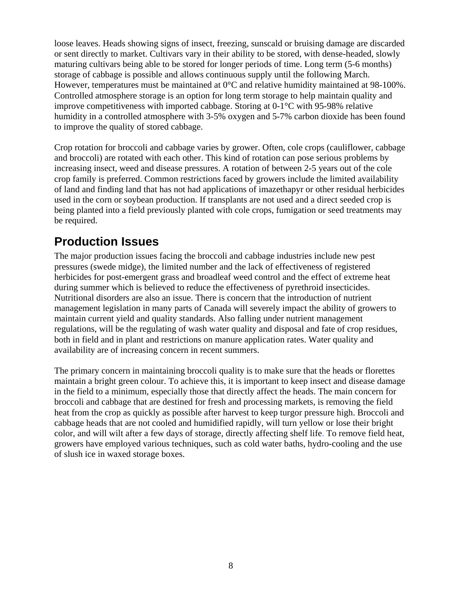<span id="page-7-0"></span>loose leaves. Heads showing signs of insect, freezing, sunscald or bruising damage are discarded or sent directly to market. Cultivars vary in their ability to be stored, with dense-headed, slowly maturing cultivars being able to be stored for longer periods of time. Long term (5-6 months) storage of cabbage is possible and allows continuous supply until the following March. However, temperatures must be maintained at 0°C and relative humidity maintained at 98-100%. Controlled atmosphere storage is an option for long term storage to help maintain quality and improve competitiveness with imported cabbage. Storing at 0-1°C with 95-98% relative humidity in a controlled atmosphere with 3-5% oxygen and 5-7% carbon dioxide has been found to improve the quality of stored cabbage.

Crop rotation for broccoli and cabbage varies by grower. Often, cole crops (cauliflower, cabbage and broccoli) are rotated with each other. This kind of rotation can pose serious problems by increasing insect, weed and disease pressures. A rotation of between 2-5 years out of the cole crop family is preferred. Common restrictions faced by growers include the limited availability of land and finding land that has not had applications of imazethapyr or other residual herbicides used in the corn or soybean production. If transplants are not used and a direct seeded crop is being planted into a field previously planted with cole crops, fumigation or seed treatments may be required.

## **Production Issues**

The major production issues facing the broccoli and cabbage industries include new pest pressures (swede midge), the limited number and the lack of effectiveness of registered herbicides for post-emergent grass and broadleaf weed control and the effect of extreme heat during summer which is believed to reduce the effectiveness of pyrethroid insecticides. Nutritional disorders are also an issue. There is concern that the introduction of nutrient management legislation in many parts of Canada will severely impact the ability of growers to maintain current yield and quality standards. Also falling under nutrient management regulations, will be the regulating of wash water quality and disposal and fate of crop residues, both in field and in plant and restrictions on manure application rates. Water quality and availability are of increasing concern in recent summers.

The primary concern in maintaining broccoli quality is to make sure that the heads or florettes maintain a bright green colour. To achieve this, it is important to keep insect and disease damage in the field to a minimum, especially those that directly affect the heads. The main concern for broccoli and cabbage that are destined for fresh and processing markets, is removing the field heat from the crop as quickly as possible after harvest to keep turgor pressure high. Broccoli and cabbage heads that are not cooled and humidified rapidly, will turn yellow or lose their bright color, and will wilt after a few days of storage, directly affecting shelf life. To remove field heat, growers have employed various techniques, such as cold water baths, hydro-cooling and the use of slush ice in waxed storage boxes.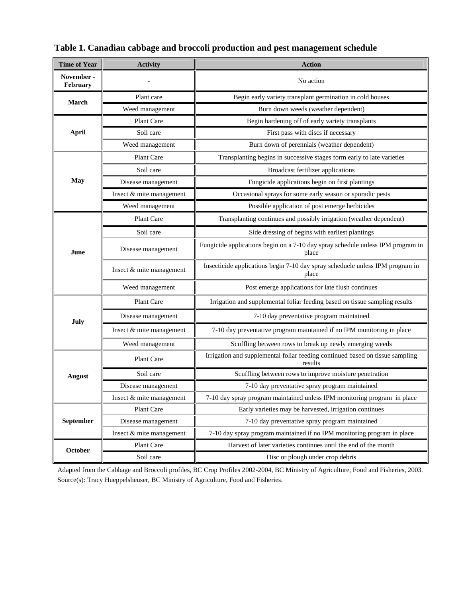| <b>Time of Year</b>    | <b>Activity</b>          | <b>Action</b>                                                                            |  |  |  |  |  |
|------------------------|--------------------------|------------------------------------------------------------------------------------------|--|--|--|--|--|
| November -<br>February |                          | No action                                                                                |  |  |  |  |  |
| March                  | Plant care               | Begin early variety transplant germination in cold houses                                |  |  |  |  |  |
|                        | Weed management          | Burn down weeds (weather dependent)                                                      |  |  |  |  |  |
|                        | Plant Care               | Begin hardening off of early variety transplants                                         |  |  |  |  |  |
| <b>April</b>           | Soil care                | First pass with discs if necessary                                                       |  |  |  |  |  |
|                        | Weed management          | Burn down of perennials (weather dependent)                                              |  |  |  |  |  |
|                        | Plant Care               | Transplanting begins in successive stages form early to late varieties                   |  |  |  |  |  |
|                        | Soil care                | Broadcast fertilizer applications                                                        |  |  |  |  |  |
| May                    | Disease management       | Fungicide applications begin on first plantings                                          |  |  |  |  |  |
|                        | Insect & mite management | Occasional sprays for some early season or sporadic pests                                |  |  |  |  |  |
|                        | Weed management          | Possible application of post emerge herbicides                                           |  |  |  |  |  |
|                        | Plant Care               | Transplanting continues and possibly irrigation (weather dependent)                      |  |  |  |  |  |
|                        | Soil care                | Side dressing of begins with earliest plantings                                          |  |  |  |  |  |
| June                   | Disease management       | Fungicide applications begin on a 7-10 day spray schedule unless IPM program in<br>place |  |  |  |  |  |
|                        | Insect & mite management | Insecticide applications begin 7-10 day spray scheduele unless IPM program in<br>place   |  |  |  |  |  |
|                        | Weed management          | Post emerge applications for late flush continues                                        |  |  |  |  |  |
|                        | Plant Care               | Irrigation and supplemental foliar feeding based on tissue sampling results              |  |  |  |  |  |
| July                   | Disease management       | 7-10 day preventative program maintained                                                 |  |  |  |  |  |
|                        | Insect & mite management | 7-10 day preventative program maintained if no IPM monitoring in place                   |  |  |  |  |  |
|                        | Weed management          | Scuffling between rows to break up newly emerging weeds                                  |  |  |  |  |  |
|                        | Plant Care               | Irrigation and supplemental foliar feeding continued based on tissue sampling<br>results |  |  |  |  |  |
| <b>August</b>          | Soil care                | Scuffling between rows to improve moisture penetration                                   |  |  |  |  |  |
|                        | Disease management       | 7-10 day preventative spray program maintained                                           |  |  |  |  |  |
|                        | Insect & mite management | 7-10 day spray program maintained unless IPM monitoring program in place                 |  |  |  |  |  |
|                        | Plant Care               | Early varieties may be harvested, irrigation continues                                   |  |  |  |  |  |
| September              | Disease management       | 7-10 day preventative spray program maintained                                           |  |  |  |  |  |
|                        | Insect & mite management | 7-10 day spray program maintained if no IPM monitoring program in place                  |  |  |  |  |  |
| October                | Plant Care               | Harvest of later varieties continues until the end of the month                          |  |  |  |  |  |
|                        | Soil care                | Disc or plough under crop debris                                                         |  |  |  |  |  |

<span id="page-8-0"></span>**Table 1. Canadian cabbage and broccoli production and pest management schedule** 

Adapted from the Cabbage and Broccoli profiles, BC Crop Profiles 2002-2004, BC Ministry of Agriculture, Food and Fisheries, 2003. Source(s): Tracy Hueppelsheuser, BC Ministry of Agriculture, Food and Fisheries.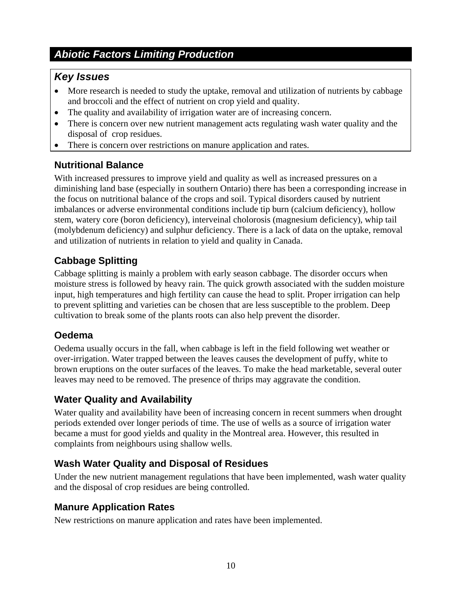## <span id="page-9-0"></span>*Abiotic Factors Limiting Production*

## *Key Issues*

- More research is needed to study the uptake, removal and utilization of nutrients by cabbage and broccoli and the effect of nutrient on crop yield and quality.
- The quality and availability of irrigation water are of increasing concern.
- There is concern over new nutrient management acts regulating wash water quality and the disposal of crop residues.
- There is concern over restrictions on manure application and rates.

## **Nutritional Balance**

With increased pressures to improve yield and quality as well as increased pressures on a diminishing land base (especially in southern Ontario) there has been a corresponding increase in the focus on nutritional balance of the crops and soil. Typical disorders caused by nutrient imbalances or adverse environmental conditions include tip burn (calcium deficiency)*,* hollow stem*,* watery core (boron deficiency)*,* interveinal cholorosis (magnesium deficiency)*,* whip tail (molybdenum deficiency) and sulphur deficiency. There is a lack of data on the uptake, removal and utilization of nutrients in relation to yield and quality in Canada.

## **Cabbage Splitting**

Cabbage splitting is mainly a problem with early season cabbage. The disorder occurs when moisture stress is followed by heavy rain. The quick growth associated with the sudden moisture input, high temperatures and high fertility can cause the head to split. Proper irrigation can help to prevent splitting and varieties can be chosen that are less susceptible to the problem. Deep cultivation to break some of the plants roots can also help prevent the disorder.

## **Oedema**

Oedema usually occurs in the fall, when cabbage is left in the field following wet weather or over-irrigation. Water trapped between the leaves causes the development of puffy, white to brown eruptions on the outer surfaces of the leaves. To make the head marketable, several outer leaves may need to be removed. The presence of thrips may aggravate the condition.

## **Water Quality and Availability**

Water quality and availability have been of increasing concern in recent summers when drought periods extended over longer periods of time. The use of wells as a source of irrigation water became a must for good yields and quality in the Montreal area. However, this resulted in complaints from neighbours using shallow wells.

## **Wash Water Quality and Disposal of Residues**

Under the new nutrient management regulations that have been implemented, wash water quality and the disposal of crop residues are being controlled.

## **Manure Application Rates**

New restrictions on manure application and rates have been implemented.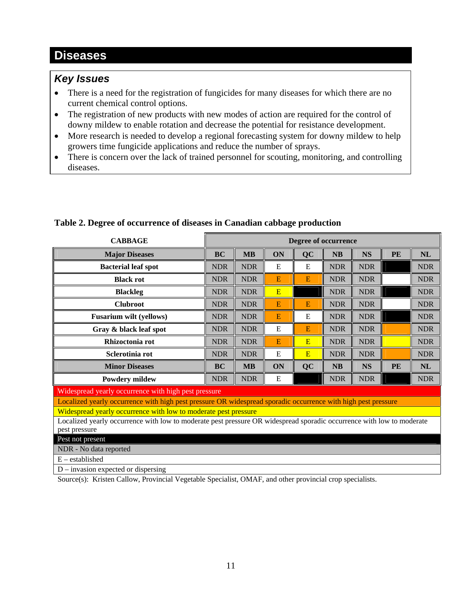## <span id="page-10-0"></span>**Diseases**

## *Key Issues*

- There is a need for the registration of fungicides for many diseases for which there are no current chemical control options.
- The registration of new products with new modes of action are required for the control of downy mildew to enable rotation and decrease the potential for resistance development.
- More research is needed to develop a regional forecasting system for downy mildew to help growers time fungicide applications and reduce the number of sprays.
- There is concern over the lack of trained personnel for scouting, monitoring, and controlling diseases.

| <b>CABBAGE</b>                                                                                                        | Degree of occurrence |            |             |           |            |            |    |            |
|-----------------------------------------------------------------------------------------------------------------------|----------------------|------------|-------------|-----------|------------|------------|----|------------|
| <b>Major Diseases</b>                                                                                                 | <b>BC</b>            | <b>MB</b>  | ON          | <b>QC</b> | NB         | <b>NS</b>  | PE | NL         |
| <b>Bacterial leaf spot</b>                                                                                            | <b>NDR</b>           | <b>NDR</b> | E           | E         | <b>NDR</b> | <b>NDR</b> |    | <b>NDR</b> |
| <b>Black rot</b>                                                                                                      | <b>NDR</b>           | <b>NDR</b> | E           | Ε         | <b>NDR</b> | <b>NDR</b> |    | <b>NDR</b> |
| <b>Blackleg</b>                                                                                                       | <b>NDR</b>           | <b>NDR</b> | E           |           | <b>NDR</b> | <b>NDR</b> |    | <b>NDR</b> |
| <b>Clubroot</b>                                                                                                       | <b>NDR</b>           | <b>NDR</b> | E           | E         | <b>NDR</b> | <b>NDR</b> |    | <b>NDR</b> |
| <b>Fusarium wilt (yellows)</b>                                                                                        | <b>NDR</b>           | <b>NDR</b> | E           | E         | <b>NDR</b> | <b>NDR</b> |    | <b>NDR</b> |
| Gray & black leaf spot                                                                                                | <b>NDR</b>           | <b>NDR</b> | E           | E         | <b>NDR</b> | <b>NDR</b> |    | <b>NDR</b> |
| Rhizoctonia rot                                                                                                       | <b>NDR</b>           | <b>NDR</b> | E           | E         | <b>NDR</b> | <b>NDR</b> |    | <b>NDR</b> |
| Sclerotinia rot                                                                                                       | <b>NDR</b>           | <b>NDR</b> | E           | E         | <b>NDR</b> | <b>NDR</b> |    | <b>NDR</b> |
| <b>Minor Diseases</b>                                                                                                 | <b>BC</b>            | <b>MB</b>  | ON          | <b>QC</b> | NB         | <b>NS</b>  | PE | NL         |
| <b>Powdery mildew</b>                                                                                                 | <b>NDR</b>           | <b>NDR</b> | $\mathbf E$ |           | <b>NDR</b> | <b>NDR</b> |    | <b>NDR</b> |
| Widespread yearly occurrence with high pest pressure                                                                  |                      |            |             |           |            |            |    |            |
| Localized yearly occurrence with high pest pressure OR widespread sporadic occurrence with high pest pressure         |                      |            |             |           |            |            |    |            |
| Widespread yearly occurrence with low to moderate pest pressure                                                       |                      |            |             |           |            |            |    |            |
| Localized yearly occurrence with low to moderate pest pressure OR widespread sporadic occurrence with low to moderate |                      |            |             |           |            |            |    |            |
| pest pressure                                                                                                         |                      |            |             |           |            |            |    |            |
| Pest not present                                                                                                      |                      |            |             |           |            |            |    |            |
| NDR - No data reported                                                                                                |                      |            |             |           |            |            |    |            |
| $E -$ established                                                                                                     |                      |            |             |           |            |            |    |            |
| $D$ – invasion expected or dispersing                                                                                 |                      |            |             |           |            |            |    |            |

## **Table 2. Degree of occurrence of diseases in Canadian cabbage production**

Source(s): Kristen Callow, Provincial Vegetable Specialist, OMAF, and other provincial crop specialists.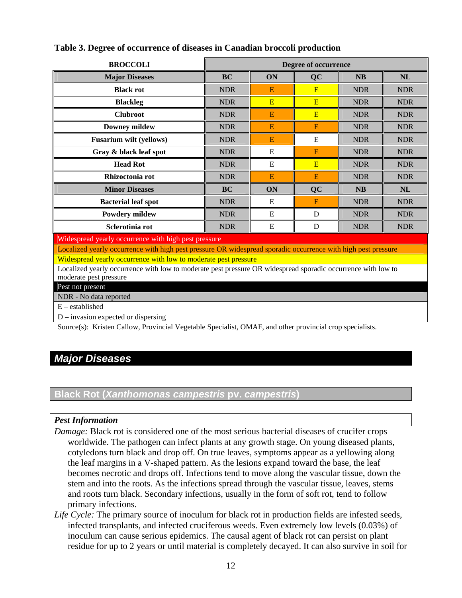| <b>BROCCOLI</b>                                                                                               | Degree of occurrence |    |           |            |            |  |  |  |  |
|---------------------------------------------------------------------------------------------------------------|----------------------|----|-----------|------------|------------|--|--|--|--|
| <b>Major Diseases</b>                                                                                         | <b>BC</b>            | ON | <b>QC</b> | <b>NB</b>  | <b>NL</b>  |  |  |  |  |
| <b>Black rot</b>                                                                                              | <b>NDR</b>           | E  | E         | <b>NDR</b> | <b>NDR</b> |  |  |  |  |
| <b>Blackleg</b>                                                                                               | <b>NDR</b>           | E  | E         | <b>NDR</b> | <b>NDR</b> |  |  |  |  |
| <b>Clubroot</b>                                                                                               | <b>NDR</b>           | E  | E         | <b>NDR</b> | <b>NDR</b> |  |  |  |  |
| <b>Downey mildew</b>                                                                                          | <b>NDR</b>           | E  | E         | <b>NDR</b> | <b>NDR</b> |  |  |  |  |
| <b>Fusarium wilt (yellows)</b>                                                                                | <b>NDR</b>           | E  | Ε         | <b>NDR</b> | <b>NDR</b> |  |  |  |  |
| Gray & black leaf spot                                                                                        | <b>NDR</b>           | E  | E         | <b>NDR</b> | <b>NDR</b> |  |  |  |  |
| <b>Head Rot</b>                                                                                               | <b>NDR</b>           | E  | E         | <b>NDR</b> | <b>NDR</b> |  |  |  |  |
| Rhizoctonia rot                                                                                               | <b>NDR</b>           | E  | E         | <b>NDR</b> | <b>NDR</b> |  |  |  |  |
| <b>Minor Diseases</b>                                                                                         | <b>BC</b>            | ON | <b>QC</b> | <b>NB</b>  | NL         |  |  |  |  |
| <b>Bacterial leaf spot</b>                                                                                    | <b>NDR</b>           | E  | E         | <b>NDR</b> | <b>NDR</b> |  |  |  |  |
| <b>Powdery mildew</b>                                                                                         | <b>NDR</b>           | E  | D         | <b>NDR</b> | <b>NDR</b> |  |  |  |  |
| Sclerotinia rot                                                                                               | <b>NDR</b>           | E  | D         | <b>NDR</b> | <b>NDR</b> |  |  |  |  |
| Widespread yearly occurrence with high pest pressure                                                          |                      |    |           |            |            |  |  |  |  |
| Localized yearly occurrence with high pest pressure OR widespread sporadic occurrence with high pest pressure |                      |    |           |            |            |  |  |  |  |
| Widespread yearly occurrence with low to moderate pest pressure                                               |                      |    |           |            |            |  |  |  |  |
| Localized yearly occurrence with low to moderate pest pressure OR widespread sporadic occurrence with low to  |                      |    |           |            |            |  |  |  |  |
| moderate pest pressure                                                                                        |                      |    |           |            |            |  |  |  |  |
| Pest not present                                                                                              |                      |    |           |            |            |  |  |  |  |
| NDR - No data reported<br>$E -$ established                                                                   |                      |    |           |            |            |  |  |  |  |
|                                                                                                               |                      |    |           |            |            |  |  |  |  |
| $D$ – invasion expected or dispersing                                                                         |                      |    |           |            |            |  |  |  |  |

## <span id="page-11-0"></span>**Table 3. Degree of occurrence of diseases in Canadian broccoli production**

Source(s): Kristen Callow, Provincial Vegetable Specialist, OMAF, and other provincial crop specialists.

## *Major Diseases*

## **Black Rot (***Xanthomonas campestris* **pv.** *campestris***)**

## *Pest Information*

- *Damage:* Black rot is considered one of the most serious bacterial diseases of crucifer crops worldwide. The pathogen can infect plants at any growth stage. On young diseased plants, cotyledons turn black and drop off. On true leaves, symptoms appear as a yellowing along the leaf margins in a V-shaped pattern. As the lesions expand toward the base, the leaf becomes necrotic and drops off. Infections tend to move along the vascular tissue, down the stem and into the roots. As the infections spread through the vascular tissue, leaves, stems and roots turn black. Secondary infections, usually in the form of soft rot, tend to follow primary infections.
- Life Cycle: The primary source of inoculum for black rot in production fields are infested seeds, infected transplants, and infected cruciferous weeds. Even extremely low levels (0.03%) of inoculum can cause serious epidemics. The causal agent of black rot can persist on plant residue for up to 2 years or until material is completely decayed. It can also survive in soil for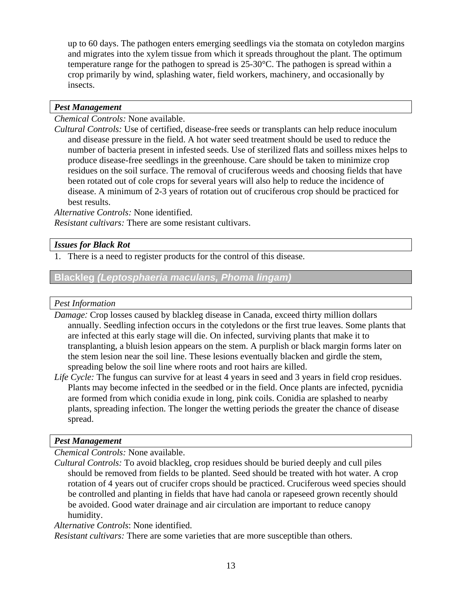<span id="page-12-0"></span>up to 60 days. The pathogen enters emerging seedlings via the stomata on cotyledon margins and migrates into the xylem tissue from which it spreads throughout the plant. The optimum temperature range for the pathogen to spread is 25-30°C. The pathogen is spread within a crop primarily by wind, splashing water, field workers, machinery, and occasionally by insects.

## *Pest Management*

*Chemical Controls:* None available.

*Cultural Controls:* Use of certified, disease-free seeds or transplants can help reduce inoculum and disease pressure in the field. A hot water seed treatment should be used to reduce the number of bacteria present in infested seeds. Use of sterilized flats and soilless mixes helps to produce disease-free seedlings in the greenhouse. Care should be taken to minimize crop residues on the soil surface. The removal of cruciferous weeds and choosing fields that have been rotated out of cole crops for several years will also help to reduce the incidence of disease. A minimum of 2-3 years of rotation out of cruciferous crop should be practiced for best results.

*Alternative Controls:* None identified.

*Resistant cultivars:* There are some resistant cultivars.

## *Issues for Black Rot*

1. There is a need to register products for the control of this disease.

## **Blackleg** *(Leptosphaeria maculans, Phoma lingam)*

#### *Pest Information*

*Damage:* Crop losses caused by blackleg disease in Canada, exceed thirty million dollars annually. Seedling infection occurs in the cotyledons or the first true leaves. Some plants that are infected at this early stage will die. On infected, surviving plants that make it to transplanting, a bluish lesion appears on the stem. A purplish or black margin forms later on the stem lesion near the soil line. These lesions eventually blacken and girdle the stem, spreading below the soil line where roots and root hairs are killed.

*Life Cycle:* The fungus can survive for at least 4 years in seed and 3 years in field crop residues. Plants may become infected in the seedbed or in the field. Once plants are infected, pycnidia are formed from which conidia exude in long, pink coils. Conidia are splashed to nearby plants, spreading infection. The longer the wetting periods the greater the chance of disease spread.

## *Pest Management*

*Chemical Controls:* None available.

*Cultural Controls:* To avoid blackleg, crop residues should be buried deeply and cull piles should be removed from fields to be planted. Seed should be treated with hot water. A crop rotation of 4 years out of crucifer crops should be practiced. Cruciferous weed species should be controlled and planting in fields that have had canola or rapeseed grown recently should be avoided. Good water drainage and air circulation are important to reduce canopy humidity.

*Alternative Controls*: None identified.

*Resistant cultivars:* There are some varieties that are more susceptible than others.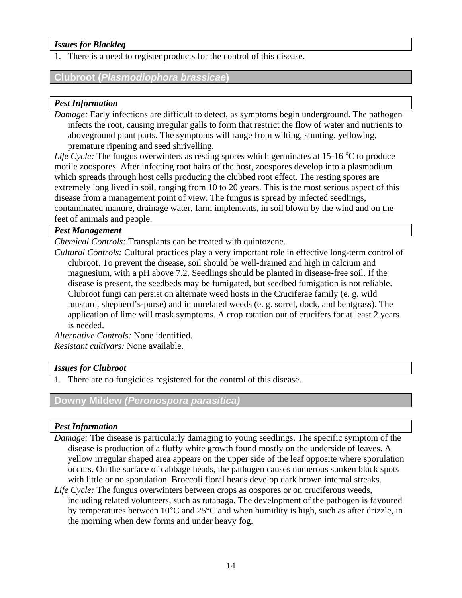## <span id="page-13-0"></span>*Issues for Blackleg*

1. There is a need to register products for the control of this disease.

## **Clubroot (***Plasmodiophora brassicae***)**

## *Pest Information*

*Damage:* Early infections are difficult to detect, as symptoms begin underground. The pathogen infects the root, causing irregular galls to form that restrict the flow of water and nutrients to aboveground plant parts. The symptoms will range from wilting, stunting, yellowing, premature ripening and seed shrivelling.

Life Cycle: The fungus overwinters as resting spores which germinates at  $15{\text -}16^{\degree}\text{C}$  to produce motile zoospores. After infecting root hairs of the host, zoospores develop into a plasmodium which spreads through host cells producing the clubbed root effect. The resting spores are extremely long lived in soil, ranging from 10 to 20 years. This is the most serious aspect of this disease from a management point of view. The fungus is spread by infected seedlings, contaminated manure, drainage water, farm implements, in soil blown by the wind and on the feet of animals and people.

## *Pest Management*

*Chemical Controls:* Transplants can be treated with quintozene.

*Cultural Controls:* Cultural practices play a very important role in effective long-term control of clubroot. To prevent the disease, soil should be well-drained and high in calcium and magnesium, with a pH above 7.2. Seedlings should be planted in disease-free soil. If the disease is present, the seedbeds may be fumigated, but seedbed fumigation is not reliable. Clubroot fungi can persist on alternate weed hosts in the Cruciferae family (e. g. wild mustard, shepherd's-purse) and in unrelated weeds (e. g. sorrel, dock, and bentgrass). The application of lime will mask symptoms. A crop rotation out of crucifers for at least 2 years is needed.

*Alternative Controls:* None identified. *Resistant cultivars:* None available.

## *Issues for Clubroot*

1. There are no fungicides registered for the control of this disease.

## **Downy Mildew** *(Peronospora parasitica)*

## *Pest Information*

- *Damage:* The disease is particularly damaging to young seedlings. The specific symptom of the disease is production of a fluffy white growth found mostly on the underside of leaves. A yellow irregular shaped area appears on the upper side of the leaf opposite where sporulation occurs. On the surface of cabbage heads, the pathogen causes numerous sunken black spots with little or no sporulation. Broccoli floral heads develop dark brown internal streaks.
- *Life Cycle:* The fungus overwinters between crops as oospores or on cruciferous weeds, including related volunteers, such as rutabaga. The development of the pathogen is favoured by temperatures between 10°C and 25°C and when humidity is high, such as after drizzle, in the morning when dew forms and under heavy fog.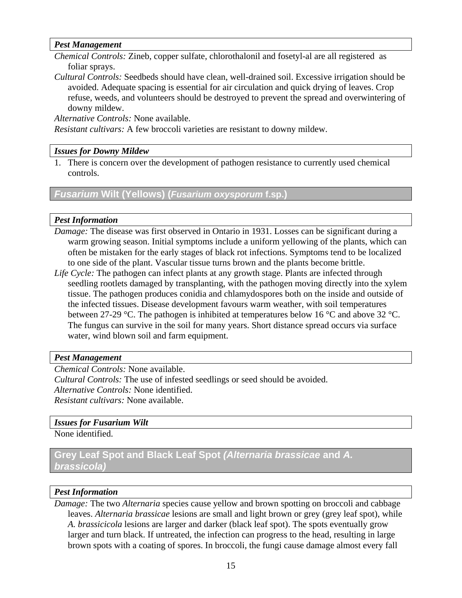#### <span id="page-14-0"></span>*Pest Management*

*Chemical Controls:* Zineb, copper sulfate, chlorothalonil and fosetyl-al are all registered as foliar sprays.

*Cultural Controls:* Seedbeds should have clean, well-drained soil. Excessive irrigation should be avoided. Adequate spacing is essential for air circulation and quick drying of leaves. Crop refuse, weeds, and volunteers should be destroyed to prevent the spread and overwintering of downy mildew.

*Alternative Controls:* None available.

*Resistant cultivars:* A few broccoli varieties are resistant to downy mildew.

## *Issues for Downy Mildew*

1. There is concern over the development of pathogen resistance to currently used chemical controls.

*Fusarium* **Wilt (Yellows) (***Fusarium oxysporum* **f.sp.)** 

## *Pest Information*

- *Damage:* The disease was first observed in Ontario in 1931. Losses can be significant during a warm growing season. Initial symptoms include a uniform yellowing of the plants, which can often be mistaken for the early stages of black rot infections. Symptoms tend to be localized to one side of the plant. Vascular tissue turns brown and the plants become brittle.
- *Life Cycle:* The pathogen can infect plants at any growth stage. Plants are infected through seedling rootlets damaged by transplanting, with the pathogen moving directly into the xylem tissue. The pathogen produces conidia and chlamydospores both on the inside and outside of the infected tissues. Disease development favours warm weather, with soil temperatures between 27-29 °C. The pathogen is inhibited at temperatures below 16 °C and above 32 °C. The fungus can survive in the soil for many years. Short distance spread occurs via surface water, wind blown soil and farm equipment.

## *Pest Management*

*Chemical Controls:* None available. *Cultural Controls:* The use of infested seedlings or seed should be avoided. *Alternative Controls:* None identified. *Resistant cultivars:* None available.

## *Issues for Fusarium Wilt*

None identified.

## **Grey Leaf Spot and Black Leaf Spot** *(Alternaria brassicae* **and** *A. brassicola)*

## *Pest Information*

*Damage:* The two *Alternaria* species cause yellow and brown spotting on broccoli and cabbage leaves. *Alternaria brassicae* lesions are small and light brown or grey (grey leaf spot), while *A. brassicicola* lesions are larger and darker (black leaf spot). The spots eventually grow larger and turn black. If untreated, the infection can progress to the head, resulting in large brown spots with a coating of spores. In broccoli, the fungi cause damage almost every fall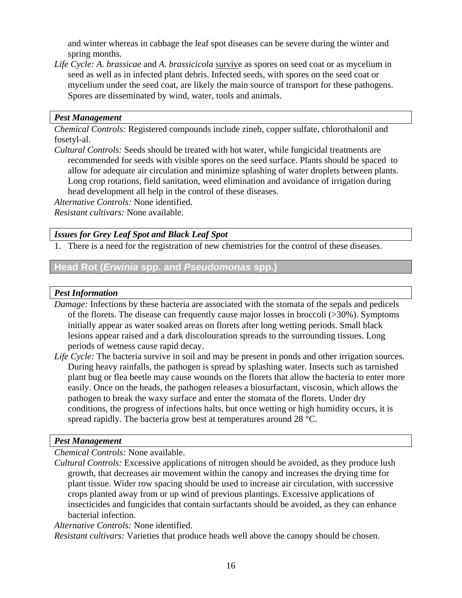<span id="page-15-0"></span>and winter whereas in cabbage the leaf spot diseases can be severe during the winter and spring months.

*Life Cycle: A. brassicae* and *A. brassicicola* survive as spores on seed coat or as mycelium in seed as well as in infected plant debris. Infected seeds, with spores on the seed coat or mycelium under the seed coat, are likely the main source of transport for these pathogens. Spores are disseminated by wind, water, tools and animals.

#### *Pest Management*

*Chemical Controls:* Registered compounds include zineb, copper sulfate, chlorothalonil and fosetyl-al.

*Cultural Controls:* Seeds should be treated with hot water, while fungicidal treatments are recommended for seeds with visible spores on the seed surface. Plants should be spaced to allow for adequate air circulation and minimize splashing of water droplets between plants. Long crop rotations, field sanitation, weed elimination and avoidance of irrigation during head development all help in the control of these diseases.

*Alternative Controls:* None identified.

*Resistant cultivars:* None available.

*Issues for Grey Leaf Spot and Black Leaf Spot* 

1. There is a need for the registration of new chemistries for the control of these diseases.

**Head Rot (***Erwinia* **spp. and** *Pseudomonas* **spp.)** 

## *Pest Information*

- *Damage:* Infections by these bacteria are associated with the stomata of the sepals and pedicels of the florets. The disease can frequently cause major losses in broccoli (>30%). Symptoms initially appear as water soaked areas on florets after long wetting periods. Small black lesions appear raised and a dark discolouration spreads to the surrounding tissues. Long periods of wetness cause rapid decay.
- *Life Cycle:* The bacteria survive in soil and may be present in ponds and other irrigation sources. During heavy rainfalls, the pathogen is spread by splashing water. Insects such as tarnished plant bug or flea beetle may cause wounds on the florets that allow the bacteria to enter more easily. Once on the heads, the pathogen releases a biosurfactant, viscosin, which allows the pathogen to break the waxy surface and enter the stomata of the florets. Under dry conditions, the progress of infections halts, but once wetting or high humidity occurs, it is spread rapidly. The bacteria grow best at temperatures around 28 °C.

## *Pest Management*

*Chemical Controls:* None available.

*Cultural Controls:* Excessive applications of nitrogen should be avoided, as they produce lush growth, that decreases air movement within the canopy and increases the drying time for plant tissue. Wider row spacing should be used to increase air circulation, with successive crops planted away from or up wind of previous plantings. Excessive applications of insecticides and fungicides that contain surfactants should be avoided, as they can enhance bacterial infection.

*Alternative Controls:* None identified.

*Resistant cultivars:* Varieties that produce heads well above the canopy should be chosen.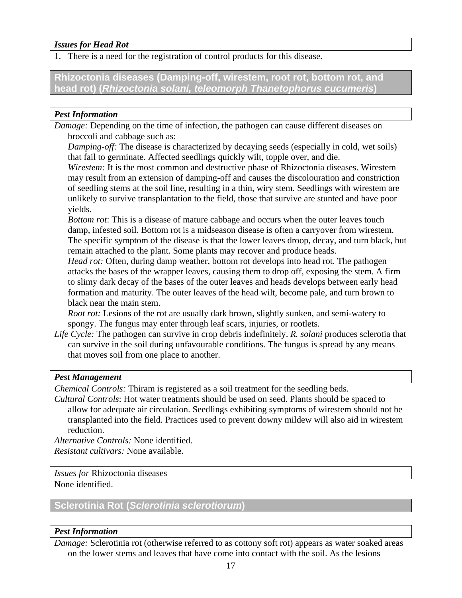## <span id="page-16-0"></span>*Issues for Head Rot*

1. There is a need for the registration of control products for this disease.

**Rhizoctonia diseases (Damping-off, wirestem, root rot, bottom rot, and head rot) (***Rhizoctonia solani, teleomorph Thanetophorus cucumeris***)** 

## *Pest Information*

*Damage:* Depending on the time of infection, the pathogen can cause different diseases on broccoli and cabbage such as:

*Damping-off:* The disease is characterized by decaying seeds (especially in cold, wet soils) that fail to germinate. Affected seedlings quickly wilt, topple over, and die.

 *Wirestem:* It is the most common and destructive phase of Rhizoctonia diseases. Wirestem may result from an extension of damping-off and causes the discolouration and constriction of seedling stems at the soil line, resulting in a thin, wiry stem. Seedlings with wirestem are unlikely to survive transplantation to the field, those that survive are stunted and have poor yields.

 *Bottom rot*: This is a disease of mature cabbage and occurs when the outer leaves touch damp, infested soil. Bottom rot is a midseason disease is often a carryover from wirestem. The specific symptom of the disease is that the lower leaves droop, decay, and turn black, but remain attached to the plant. Some plants may recover and produce heads.

*Head rot:* Often, during damp weather, bottom rot develops into head rot. The pathogen attacks the bases of the wrapper leaves, causing them to drop off, exposing the stem. A firm to slimy dark decay of the bases of the outer leaves and heads develops between early head formation and maturity. The outer leaves of the head wilt, become pale, and turn brown to black near the main stem.

*Root rot:* Lesions of the rot are usually dark brown, slightly sunken, and semi-watery to spongy. The fungus may enter through leaf scars, injuries, or rootlets.

*Life Cycle:* The pathogen can survive in crop debris indefinitely. *R. solani* produces sclerotia that can survive in the soil during unfavourable conditions. The fungus is spread by any means that moves soil from one place to another.

## *Pest Management*

*Chemical Controls:* Thiram is registered as a soil treatment for the seedling beds.

*Cultural Controls*: Hot water treatments should be used on seed. Plants should be spaced to allow for adequate air circulation. Seedlings exhibiting symptoms of wirestem should not be transplanted into the field. Practices used to prevent downy mildew will also aid in wirestem reduction.

*Alternative Controls:* None identified. *Resistant cultivars:* None available.

*Issues for* Rhizoctonia diseases

None identified.

## **Sclerotinia Rot (***Sclerotinia sclerotiorum***)**

## *Pest Information*

*Damage:* Sclerotinia rot (otherwise referred to as cottony soft rot) appears as water soaked areas on the lower stems and leaves that have come into contact with the soil. As the lesions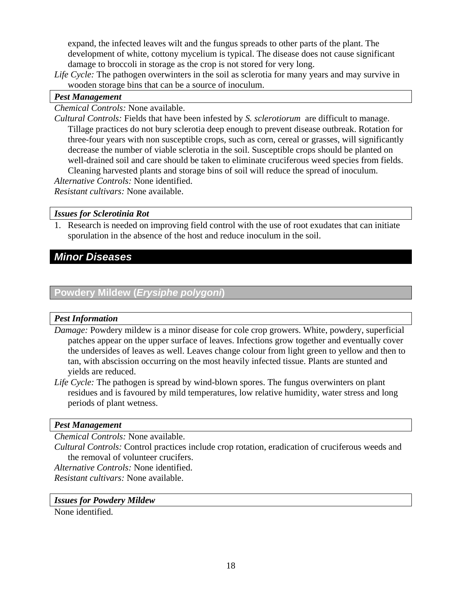<span id="page-17-0"></span>expand, the infected leaves wilt and the fungus spreads to other parts of the plant. The development of white, cottony mycelium is typical. The disease does not cause significant damage to broccoli in storage as the crop is not stored for very long.

*Life Cycle:* The pathogen overwinters in the soil as sclerotia for many years and may survive in wooden storage bins that can be a source of inoculum.

## *Pest Management*

*Chemical Controls:* None available.

*Cultural Controls:* Fields that have been infested by *S. sclerotiorum* are difficult to manage. Tillage practices do not bury sclerotia deep enough to prevent disease outbreak. Rotation for three-four years with non susceptible crops, such as corn, cereal or grasses, will significantly decrease the number of viable sclerotia in the soil. Susceptible crops should be planted on well-drained soil and care should be taken to eliminate cruciferous weed species from fields. Cleaning harvested plants and storage bins of soil will reduce the spread of inoculum. *Alternative Controls:* None identified.

*Resistant cultivars:* None available.

## *Issues for Sclerotinia Rot*

1. Research is needed on improving field control with the use of root exudates that can initiate sporulation in the absence of the host and reduce inoculum in the soil.

## *Minor Diseases*

## **Powdery Mildew (***Erysiphe polygoni***)**

#### *Pest Information*

- *Damage:* Powdery mildew is a minor disease for cole crop growers. White, powdery, superficial patches appear on the upper surface of leaves. Infections grow together and eventually cover the undersides of leaves as well. Leaves change colour from light green to yellow and then to tan, with abscission occurring on the most heavily infected tissue. Plants are stunted and yields are reduced.
- *Life Cycle:* The pathogen is spread by wind-blown spores. The fungus overwinters on plant residues and is favoured by mild temperatures, low relative humidity, water stress and long periods of plant wetness.

## *Pest Management*

*Chemical Controls:* None available.

*Cultural Controls:* Control practices include crop rotation, eradication of cruciferous weeds and the removal of volunteer crucifers.

*Alternative Controls:* None identified.

*Resistant cultivars:* None available.

#### *Issues for Powdery Mildew*

None identified.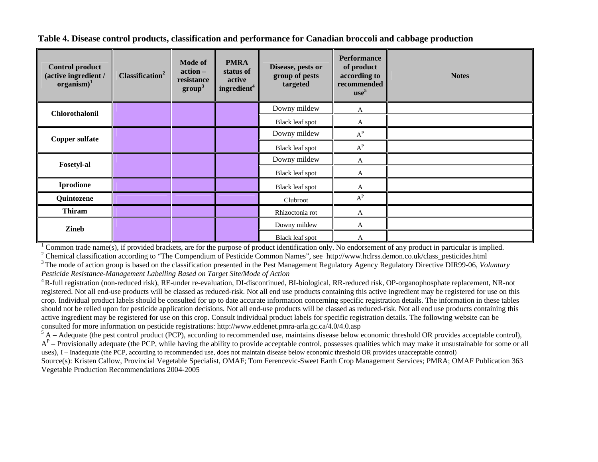**Table 4. Disease control products, classification and performance for Canadian broccoli and cabbage production** 

| <b>Control product</b><br>(active ingredient /<br>$organism)^1$ | Classification <sup>2</sup> | <b>Mode of</b><br>action –<br>resistance<br>$\mathbf{group}^3$ | <b>PMRA</b><br>status of<br>active<br>ingredient <sup>4</sup> | Disease, pests or<br>group of pests<br>targeted | <b>Performance</b><br>of product<br>according to<br>recommended<br>use <sup>5</sup> | <b>Notes</b> |  |  |  |  |  |  |                 |   |  |
|-----------------------------------------------------------------|-----------------------------|----------------------------------------------------------------|---------------------------------------------------------------|-------------------------------------------------|-------------------------------------------------------------------------------------|--------------|--|--|--|--|--|--|-----------------|---|--|
| <b>Chlorothalonil</b>                                           |                             |                                                                |                                                               | Downy mildew                                    | A                                                                                   |              |  |  |  |  |  |  |                 |   |  |
|                                                                 |                             |                                                                |                                                               | Black leaf spot                                 | A                                                                                   |              |  |  |  |  |  |  |                 |   |  |
| <b>Copper sulfate</b>                                           |                             |                                                                |                                                               | Downy mildew                                    | $\textbf{A}^\textbf{P}$                                                             |              |  |  |  |  |  |  |                 |   |  |
|                                                                 |                             |                                                                |                                                               | Black leaf spot                                 | $A^P$                                                                               |              |  |  |  |  |  |  |                 |   |  |
| <b>Fosetyl-al</b>                                               |                             |                                                                |                                                               | Downy mildew                                    | A                                                                                   |              |  |  |  |  |  |  |                 |   |  |
|                                                                 |                             |                                                                |                                                               | Black leaf spot                                 | A                                                                                   |              |  |  |  |  |  |  |                 |   |  |
| <b>Iprodione</b>                                                |                             |                                                                |                                                               | Black leaf spot                                 | A                                                                                   |              |  |  |  |  |  |  |                 |   |  |
| Quintozene                                                      |                             |                                                                |                                                               | Clubroot                                        | $\textbf{A}^\textbf{P}$                                                             |              |  |  |  |  |  |  |                 |   |  |
| <b>Thiram</b>                                                   |                             |                                                                |                                                               | Rhizoctonia rot                                 | A                                                                                   |              |  |  |  |  |  |  |                 |   |  |
| <b>Zineb</b>                                                    |                             |                                                                |                                                               | Downy mildew                                    | A                                                                                   |              |  |  |  |  |  |  |                 |   |  |
|                                                                 |                             |                                                                |                                                               |                                                 |                                                                                     |              |  |  |  |  |  |  | Black leaf spot | A |  |

<sup>1</sup> Common trade name(s), if provided brackets, are for the purpose of product identification only. No endorsement of any product in particular is implied.<br><sup>2</sup> Chemical classification according to "The Compendium of Pesti

<sup>3</sup> The mode of action group is based on the classification presented in the Pest Management Regulatory Agency Regulatory Directive DIR99-06, *Voluntary* 

*Pesticide Resistance-Management Labelling Based on Target Site/Mode of Action*

4 R-full registration (non-reduced risk), RE-under re-evaluation, DI-discontinued, BI-biological, RR-reduced risk, OP-organophosphate replacement, NR-not registered. Not all end-use products will be classed as reduced-risk. Not all end use products containing this active ingredient may be registered for use on this crop. Individual product labels should be consulted for up to date accurate information concerning specific registration details. The information in these tables should not be relied upon for pesticide application decisions. Not all end-use products will be classed as reduced-risk. Not all end use products containing this active ingredient may be registered for use on this crop. Consult individual product labels for specific registration details. The following website can be consulted for more information on pesticide registrations: http://

 ${}^5$  A – Adequate (the pest control product (PCP), according to recommended use, maintains disease below economic threshold OR provides acceptable control),

 $A<sup>P</sup>$  – Provisionally adequate (the PCP, while having the ability to provide acceptable control, possesses qualities which may make it unsustainable for some or all uses), I – Inadequate (the PCP, according to recommended use, does not maintain disease below economic threshold OR provides unacceptable control) Source(s): Kristen Callow, Provincial Vegetable Specialist, OMAF; Tom Ferencevic-Sweet Earth Crop Management Services; PMRA; OMAF Publication 363

<span id="page-18-0"></span>Vegetable Production Recommendations 2004-2005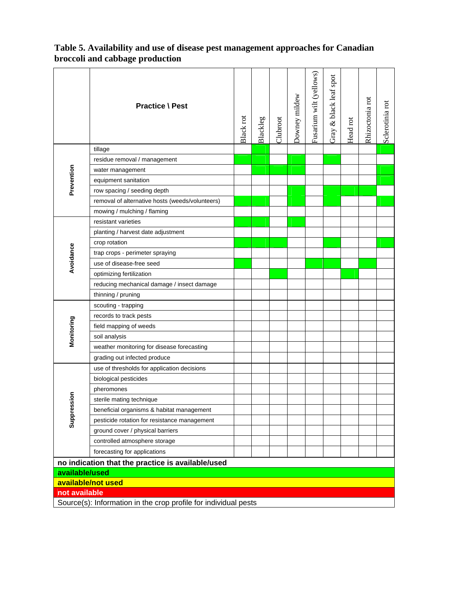|                                                                 | <b>Practice \ Pest</b>                          | Black rot | Blackleg | Clubroot | Downey mildew | Fusarium wilt (yellows) | Gray & black leaf spot | Head rot | Rhizoctonia rot | Sclerotinia rot |
|-----------------------------------------------------------------|-------------------------------------------------|-----------|----------|----------|---------------|-------------------------|------------------------|----------|-----------------|-----------------|
|                                                                 | tillage                                         |           |          |          |               |                         |                        |          |                 |                 |
|                                                                 | residue removal / management                    |           |          |          |               |                         |                        |          |                 |                 |
| Prevention                                                      | water management                                |           |          |          |               |                         |                        |          |                 |                 |
|                                                                 | equipment sanitation                            |           |          |          |               |                         |                        |          |                 |                 |
|                                                                 | row spacing / seeding depth                     |           |          |          |               |                         |                        |          |                 |                 |
|                                                                 | removal of alternative hosts (weeds/volunteers) |           |          |          |               |                         |                        |          |                 |                 |
|                                                                 | mowing / mulching / flaming                     |           |          |          |               |                         |                        |          |                 |                 |
|                                                                 | resistant varieties                             |           |          |          |               |                         |                        |          |                 |                 |
|                                                                 | planting / harvest date adjustment              |           |          |          |               |                         |                        |          |                 |                 |
|                                                                 | crop rotation                                   |           |          |          |               |                         |                        |          |                 |                 |
|                                                                 | trap crops - perimeter spraying                 |           |          |          |               |                         |                        |          |                 |                 |
| Avoidance                                                       | use of disease-free seed                        |           |          |          |               |                         |                        |          |                 |                 |
|                                                                 | optimizing fertilization                        |           |          |          |               |                         |                        |          |                 |                 |
|                                                                 | reducing mechanical damage / insect damage      |           |          |          |               |                         |                        |          |                 |                 |
|                                                                 | thinning / pruning                              |           |          |          |               |                         |                        |          |                 |                 |
|                                                                 | scouting - trapping                             |           |          |          |               |                         |                        |          |                 |                 |
|                                                                 | records to track pests                          |           |          |          |               |                         |                        |          |                 |                 |
| Monitoring                                                      | field mapping of weeds                          |           |          |          |               |                         |                        |          |                 |                 |
|                                                                 | soil analysis                                   |           |          |          |               |                         |                        |          |                 |                 |
|                                                                 | weather monitoring for disease forecasting      |           |          |          |               |                         |                        |          |                 |                 |
|                                                                 | grading out infected produce                    |           |          |          |               |                         |                        |          |                 |                 |
|                                                                 | use of thresholds for application decisions     |           |          |          |               |                         |                        |          |                 |                 |
|                                                                 | biological pesticides                           |           |          |          |               |                         |                        |          |                 |                 |
|                                                                 | pheromones                                      |           |          |          |               |                         |                        |          |                 |                 |
| sion                                                            | sterile mating technique                        |           |          |          |               |                         |                        |          |                 |                 |
|                                                                 | beneficial organisms & habitat management       |           |          |          |               |                         |                        |          |                 |                 |
| Suppres                                                         | pesticide rotation for resistance management    |           |          |          |               |                         |                        |          |                 |                 |
|                                                                 | ground cover / physical barriers                |           |          |          |               |                         |                        |          |                 |                 |
|                                                                 | controlled atmosphere storage                   |           |          |          |               |                         |                        |          |                 |                 |
|                                                                 | forecasting for applications                    |           |          |          |               |                         |                        |          |                 |                 |
| no indication that the practice is available/used               |                                                 |           |          |          |               |                         |                        |          |                 |                 |
| available/used                                                  |                                                 |           |          |          |               |                         |                        |          |                 |                 |
|                                                                 | available/not used                              |           |          |          |               |                         |                        |          |                 |                 |
| not available                                                   |                                                 |           |          |          |               |                         |                        |          |                 |                 |
| Source(s): Information in the crop profile for individual pests |                                                 |           |          |          |               |                         |                        |          |                 |                 |

<span id="page-19-0"></span>**Table 5. Availability and use of disease pest management approaches for Canadian broccoli and cabbage production**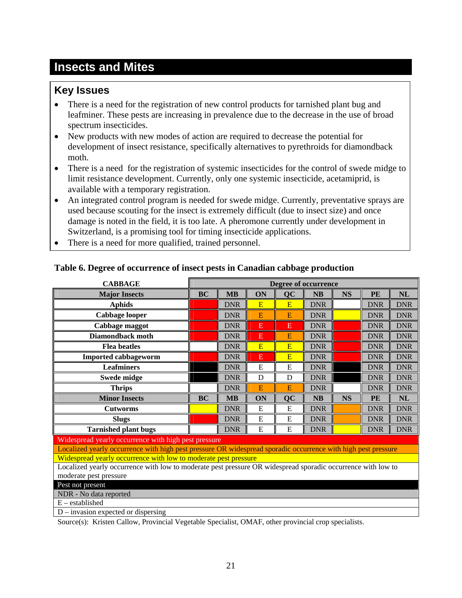## <span id="page-20-0"></span>**Insects and Mites**

## **Key Issues**

- There is a need for the registration of new control products for tarnished plant bug and leafminer. These pests are increasing in prevalence due to the decrease in the use of broad spectrum insecticides.
- New products with new modes of action are required to decrease the potential for development of insect resistance, specifically alternatives to pyrethroids for diamondback moth.
- There is a need for the registration of systemic insecticides for the control of swede midge to limit resistance development. Currently, only one systemic insecticide, acetamiprid, is available with a temporary registration.
- An integrated control program is needed for swede midge. Currently, preventative sprays are used because scouting for the insect is extremely difficult (due to insect size) and once damage is noted in the field, it is too late. A pheromone currently under development in Switzerland, is a promising tool for timing insecticide applications.
- There is a need for more qualified, trained personnel.

| <b>CABBAGE</b>                                                                                                | <b>Degree of occurrence</b> |            |    |           |            |           |            |            |
|---------------------------------------------------------------------------------------------------------------|-----------------------------|------------|----|-----------|------------|-----------|------------|------------|
| <b>Major Insects</b>                                                                                          | BC                          | <b>MB</b>  | ON | QC        | <b>NB</b>  | <b>NS</b> | PE         | <b>NL</b>  |
| <b>Aphids</b>                                                                                                 |                             | <b>DNR</b> | E  | E         | <b>DNR</b> |           | <b>DNR</b> | <b>DNR</b> |
| <b>Cabbage looper</b>                                                                                         |                             | <b>DNR</b> | E  | E         | <b>DNR</b> |           | <b>DNR</b> | <b>DNR</b> |
| Cabbage maggot                                                                                                |                             | <b>DNR</b> | E  | E         | <b>DNR</b> |           | <b>DNR</b> | <b>DNR</b> |
| <b>Diamondback moth</b>                                                                                       |                             | <b>DNR</b> | E  | E         | <b>DNR</b> |           | <b>DNR</b> | <b>DNR</b> |
| <b>Flea</b> beatles                                                                                           |                             | <b>DNR</b> | E  | E         | <b>DNR</b> |           | <b>DNR</b> | <b>DNR</b> |
| <b>Imported cabbageworm</b>                                                                                   |                             | <b>DNR</b> | Ε  | E         | <b>DNR</b> |           | <b>DNR</b> | <b>DNR</b> |
| <b>Leafminers</b>                                                                                             |                             | <b>DNR</b> | E  | E         | <b>DNR</b> |           | <b>DNR</b> | <b>DNR</b> |
| <b>Swede midge</b>                                                                                            |                             | <b>DNR</b> | D  | D         | <b>DNR</b> |           | <b>DNR</b> | <b>DNR</b> |
| <b>Thrips</b>                                                                                                 |                             | <b>DNR</b> | E  | E         | <b>DNR</b> |           | <b>DNR</b> | <b>DNR</b> |
| <b>Minor Insects</b>                                                                                          | <b>BC</b>                   | MB         | ON | <b>QC</b> | NB         | <b>NS</b> | PE         | NL         |
| <b>Cutworms</b>                                                                                               |                             | <b>DNR</b> | E  | E         | <b>DNR</b> |           | <b>DNR</b> | <b>DNR</b> |
| <b>Slugs</b>                                                                                                  |                             | <b>DNR</b> | E  | E         | <b>DNR</b> |           | <b>DNR</b> | <b>DNR</b> |
| <b>Tarnished plant bugs</b>                                                                                   |                             | <b>DNR</b> | E  | E         | <b>DNR</b> |           | <b>DNR</b> | <b>DNR</b> |
| Widespread yearly occurrence with high pest pressure                                                          |                             |            |    |           |            |           |            |            |
| Localized yearly occurrence with high pest pressure OR widespread sporadic occurrence with high pest pressure |                             |            |    |           |            |           |            |            |
| Widespread yearly occurrence with low to moderate pest pressure                                               |                             |            |    |           |            |           |            |            |
| Localized yearly occurrence with low to moderate pest pressure OR widespread sporadic occurrence with low to  |                             |            |    |           |            |           |            |            |
| moderate pest pressure                                                                                        |                             |            |    |           |            |           |            |            |
| Pest not present                                                                                              |                             |            |    |           |            |           |            |            |
| NDR - No data reported                                                                                        |                             |            |    |           |            |           |            |            |
| $E -$ established                                                                                             |                             |            |    |           |            |           |            |            |
| $D$ – invasion expected or dispersing                                                                         |                             |            |    |           |            |           |            |            |

## **Table 6. Degree of occurrence of insect pests in Canadian cabbage production**

Source(s): Kristen Callow, Provincial Vegetable Specialist, OMAF, other provincial crop specialists.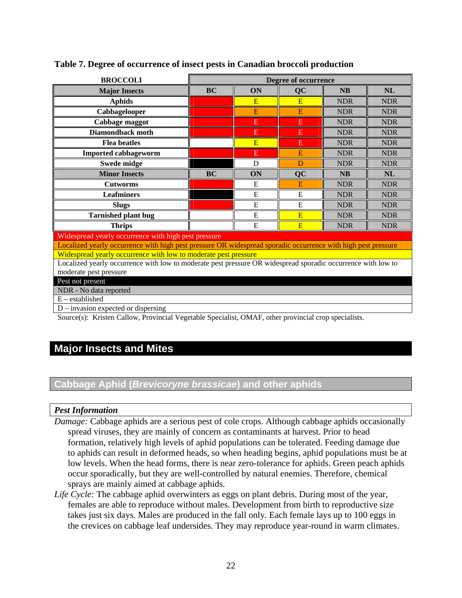| <b>BROCCOLI</b>                                                                                               | <b>Degree of occurrence</b>              |    |           |            |            |  |  |  |  |
|---------------------------------------------------------------------------------------------------------------|------------------------------------------|----|-----------|------------|------------|--|--|--|--|
| <b>Major Insects</b>                                                                                          | <b>BC</b><br>ON<br><b>NB</b><br>NL<br>QC |    |           |            |            |  |  |  |  |
| <b>Aphids</b>                                                                                                 |                                          | E  | E         | <b>NDR</b> | <b>NDR</b> |  |  |  |  |
| Cabbagelooper                                                                                                 |                                          | E  | E         | <b>NDR</b> | <b>NDR</b> |  |  |  |  |
| Cabbage maggot                                                                                                |                                          | E  | E         | <b>NDR</b> | <b>NDR</b> |  |  |  |  |
| <b>Diamondback moth</b>                                                                                       |                                          | E  | Ε         | <b>NDR</b> | <b>NDR</b> |  |  |  |  |
| <b>Flea</b> beatles                                                                                           |                                          | E  | E         | <b>NDR</b> | <b>NDR</b> |  |  |  |  |
| <b>Imported cabbageworm</b>                                                                                   |                                          | E  | E         | <b>NDR</b> | <b>NDR</b> |  |  |  |  |
| <b>Swede midge</b>                                                                                            |                                          | D  | D         | <b>NDR</b> | <b>NDR</b> |  |  |  |  |
| <b>Minor Insects</b>                                                                                          | <b>BC</b>                                | ON | <b>QC</b> | <b>NB</b>  | NL         |  |  |  |  |
| <b>Cutworms</b>                                                                                               |                                          | E  | E         | <b>NDR</b> | <b>NDR</b> |  |  |  |  |
| <b>Leafminers</b>                                                                                             |                                          | E  | E         | <b>NDR</b> | <b>NDR</b> |  |  |  |  |
| <b>Slugs</b>                                                                                                  |                                          | E  | E         | <b>NDR</b> | <b>NDR</b> |  |  |  |  |
| <b>Tarnished plant bug</b>                                                                                    |                                          | E  | E         | <b>NDR</b> | <b>NDR</b> |  |  |  |  |
| <b>Thrips</b>                                                                                                 |                                          | E  | E         | <b>NDR</b> | <b>NDR</b> |  |  |  |  |
| Widespread yearly occurrence with high pest pressure                                                          |                                          |    |           |            |            |  |  |  |  |
| Localized yearly occurrence with high pest pressure OR widespread sporadic occurrence with high pest pressure |                                          |    |           |            |            |  |  |  |  |
| Widespread yearly occurrence with low to moderate pest pressure                                               |                                          |    |           |            |            |  |  |  |  |
| Localized yearly occurrence with low to moderate pest pressure OR widespread sporadic occurrence with low to  |                                          |    |           |            |            |  |  |  |  |
| moderate pest pressure                                                                                        |                                          |    |           |            |            |  |  |  |  |
| Pest not present                                                                                              |                                          |    |           |            |            |  |  |  |  |
| NDR - No data reported                                                                                        |                                          |    |           |            |            |  |  |  |  |
| $E -$ established                                                                                             |                                          |    |           |            |            |  |  |  |  |
| $D$ – invasion expected or dispersing                                                                         |                                          |    |           |            |            |  |  |  |  |

## <span id="page-21-0"></span>**Table 7. Degree of occurrence of insect pests in Canadian broccoli production**

Source(s): Kristen Callow, Provincial Vegetable Specialist, OMAF, other provincial crop specialists.

## **Major Insects and Mites**

## **Cabbage Aphid (***Brevicoryne brassicae***) and other aphids**

## *Pest Information*

- *Damage:* Cabbage aphids are a serious pest of cole crops. Although cabbage aphids occasionally spread viruses, they are mainly of concern as contaminants at harvest. Prior to head formation, relatively high levels of aphid populations can be tolerated. Feeding damage due to aphids can result in deformed heads, so when heading begins, aphid populations must be at low levels. When the head forms, there is near zero-tolerance for aphids. Green peach aphids occur sporadically, but they are well-controlled by natural enemies. Therefore, chemical sprays are mainly aimed at cabbage aphids.
- *Life Cycle:* The cabbage aphid overwinters as eggs on plant debris. During most of the year, females are able to reproduce without males. Development from birth to reproductive size takes just six days. Males are produced in the fall only. Each female lays up to 100 eggs in the crevices on cabbage leaf undersides. They may reproduce year-round in warm climates.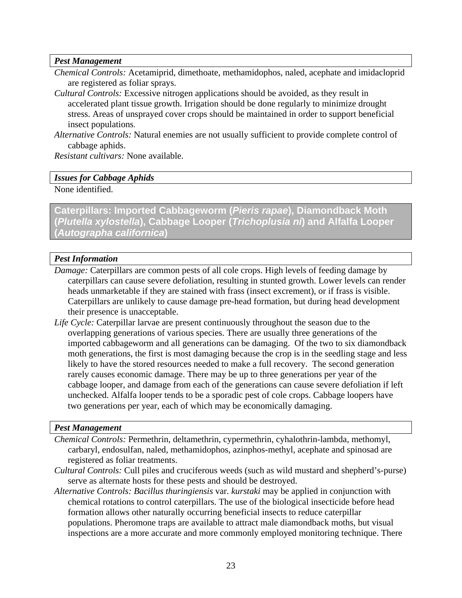#### <span id="page-22-0"></span>*Pest Management*

- *Chemical Controls:* Acetamiprid, dimethoate, methamidophos, naled, acephate and imidacloprid are registered as foliar sprays.
- *Cultural Controls:* Excessive nitrogen applications should be avoided, as they result in accelerated plant tissue growth. Irrigation should be done regularly to minimize drought stress. Areas of unsprayed cover crops should be maintained in order to support beneficial insect populations.
- *Alternative Controls:* Natural enemies are not usually sufficient to provide complete control of cabbage aphids.

*Resistant cultivars:* None available.

#### *Issues for Cabbage Aphids*

None identified.

**Caterpillars: Imported Cabbageworm (***Pieris rapae***), Diamondback Moth (***Plutella xylostella***), Cabbage Looper (***Trichoplusia ni***) and Alfalfa Looper (***Autographa californica***)** 

## *Pest Information*

- *Damage:* Caterpillars are common pests of all cole crops. High levels of feeding damage by caterpillars can cause severe defoliation, resulting in stunted growth. Lower levels can render heads unmarketable if they are stained with frass (insect excrement), or if frass is visible. Caterpillars are unlikely to cause damage pre-head formation, but during head development their presence is unacceptable.
- *Life Cycle:* Caterpillar larvae are present continuously throughout the season due to the overlapping generations of various species. There are usually three generations of the imported cabbageworm and all generations can be damaging. Of the two to six diamondback moth generations, the first is most damaging because the crop is in the seedling stage and less likely to have the stored resources needed to make a full recovery. The second generation rarely causes economic damage. There may be up to three generations per year of the cabbage looper, and damage from each of the generations can cause severe defoliation if left unchecked. Alfalfa looper tends to be a sporadic pest of cole crops. Cabbage loopers have two generations per year, each of which may be economically damaging.

#### *Pest Management*

- *Chemical Controls:* Permethrin, deltamethrin, cypermethrin, cyhalothrin-lambda, methomyl, carbaryl, endosulfan, naled, methamidophos, azinphos-methyl, acephate and spinosad are registered as foliar treatments.
- *Cultural Controls:* Cull piles and cruciferous weeds (such as wild mustard and shepherd's-purse) serve as alternate hosts for these pests and should be destroyed.
- *Alternative Controls: Bacillus thuringiensis* var*. kurstaki* may be applied in conjunction with chemical rotations to control caterpillars. The use of the biological insecticide before head formation allows other naturally occurring beneficial insects to reduce caterpillar populations. Pheromone traps are available to attract male diamondback moths, but visual inspections are a more accurate and more commonly employed monitoring technique. There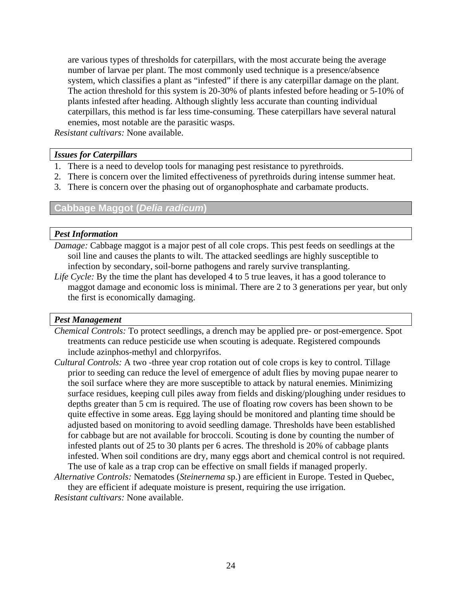<span id="page-23-0"></span>are various types of thresholds for caterpillars, with the most accurate being the average number of larvae per plant. The most commonly used technique is a presence/absence system, which classifies a plant as "infested" if there is any caterpillar damage on the plant. The action threshold for this system is 20-30% of plants infested before heading or 5-10% of plants infested after heading. Although slightly less accurate than counting individual caterpillars, this method is far less time-consuming. These caterpillars have several natural enemies, most notable are the parasitic wasps.

*Resistant cultivars:* None available.

#### *Issues for Caterpillars*

- 1. There is a need to develop tools for managing pest resistance to pyrethroids.
- 2. There is concern over the limited effectiveness of pyrethroids during intense summer heat.
- 3. There is concern over the phasing out of organophosphate and carbamate products.

## **Cabbage Maggot (***Delia radicum***)**

#### *Pest Information*

- *Damage:* Cabbage maggot is a major pest of all cole crops. This pest feeds on seedlings at the soil line and causes the plants to wilt. The attacked seedlings are highly susceptible to infection by secondary, soil-borne pathogens and rarely survive transplanting.
- *Life Cycle:* By the time the plant has developed 4 to 5 true leaves, it has a good tolerance to maggot damage and economic loss is minimal. There are 2 to 3 generations per year, but only the first is economically damaging.

#### *Pest Management*

- *Chemical Controls:* To protect seedlings, a drench may be applied pre- or post-emergence. Spot treatments can reduce pesticide use when scouting is adequate. Registered compounds include azinphos-methyl and chlorpyrifos.
- *Cultural Controls:* A two -three year crop rotation out of cole crops is key to control. Tillage prior to seeding can reduce the level of emergence of adult flies by moving pupae nearer to the soil surface where they are more susceptible to attack by natural enemies. Minimizing surface residues, keeping cull piles away from fields and disking/ploughing under residues to depths greater than 5 cm is required. The use of floating row covers has been shown to be quite effective in some areas. Egg laying should be monitored and planting time should be adjusted based on monitoring to avoid seedling damage. Thresholds have been established for cabbage but are not available for broccoli. Scouting is done by counting the number of infested plants out of 25 to 30 plants per 6 acres. The threshold is 20% of cabbage plants infested. When soil conditions are dry, many eggs abort and chemical control is not required. The use of kale as a trap crop can be effective on small fields if managed properly.
- *Alternative Controls:* Nematodes (*Steinernema* sp.) are efficient in Europe. Tested in Quebec, they are efficient if adequate moisture is present, requiring the use irrigation.

*Resistant cultivars:* None available.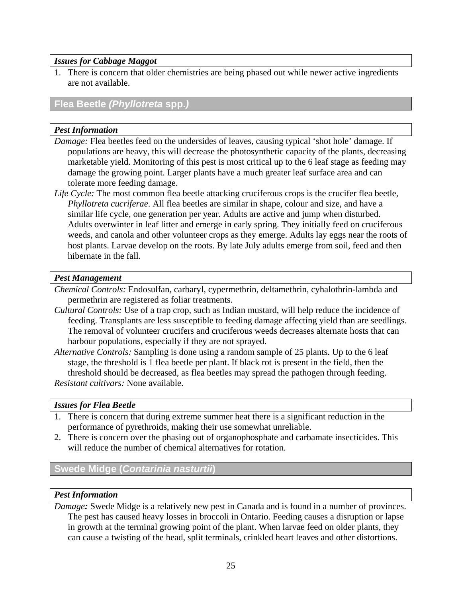## <span id="page-24-0"></span>*Issues for Cabbage Maggot*

1. There is concern that older chemistries are being phased out while newer active ingredients are not available.

## **Flea Beetle** *(Phyllotreta* **spp.***)*

## *Pest Information*

- *Damage:* Flea beetles feed on the undersides of leaves, causing typical 'shot hole' damage. If populations are heavy, this will decrease the photosynthetic capacity of the plants, decreasing marketable yield. Monitoring of this pest is most critical up to the 6 leaf stage as feeding may damage the growing point. Larger plants have a much greater leaf surface area and can tolerate more feeding damage.
- *Life Cycle:* The most common flea beetle attacking cruciferous crops is the crucifer flea beetle, *Phyllotreta cucriferae*. All flea beetles are similar in shape, colour and size, and have a similar life cycle, one generation per year. Adults are active and jump when disturbed. Adults overwinter in leaf litter and emerge in early spring. They initially feed on cruciferous weeds, and canola and other volunteer crops as they emerge. Adults lay eggs near the roots of host plants. Larvae develop on the roots. By late July adults emerge from soil, feed and then hibernate in the fall.

## *Pest Management*

*Chemical Controls:* Endosulfan, carbaryl, cypermethrin, deltamethrin, cyhalothrin-lambda and permethrin are registered as foliar treatments.

- *Cultural Controls:* Use of a trap crop, such as Indian mustard, will help reduce the incidence of feeding. Transplants are less susceptible to feeding damage affecting yield than are seedlings. The removal of volunteer crucifers and cruciferous weeds decreases alternate hosts that can harbour populations, especially if they are not sprayed.
- *Alternative Controls:* Sampling is done using a random sample of 25 plants. Up to the 6 leaf stage, the threshold is 1 flea beetle per plant. If black rot is present in the field, then the threshold should be decreased, as flea beetles may spread the pathogen through feeding. *Resistant cultivars:* None available.

## *Issues for Flea Beetle*

- 1. There is concern that during extreme summer heat there is a significant reduction in the performance of pyrethroids, making their use somewhat unreliable.
- 2. There is concern over the phasing out of organophosphate and carbamate insecticides. This will reduce the number of chemical alternatives for rotation.

## **Swede Midge (***Contarinia nasturtii***)**

## *Pest Information*

*Damage:* Swede Midge is a relatively new pest in Canada and is found in a number of provinces. The pest has caused heavy losses in broccoli in Ontario. Feeding causes a disruption or lapse in growth at the terminal growing point of the plant. When larvae feed on older plants, they can cause a twisting of the head, split terminals, crinkled heart leaves and other distortions.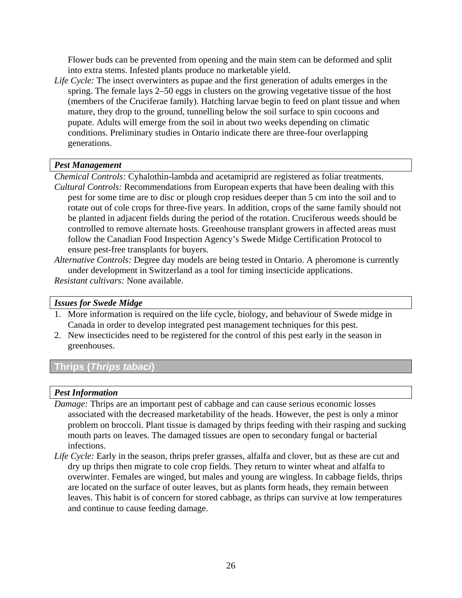<span id="page-25-0"></span>Flower buds can be prevented from opening and the main stem can be deformed and split into extra stems. Infested plants produce no marketable yield.

*Life Cycle:* The insect overwinters as pupae and the first generation of adults emerges in the spring. The female lays 2–50 eggs in clusters on the growing vegetative tissue of the host (members of the Cruciferae family). Hatching larvae begin to feed on plant tissue and when mature, they drop to the ground, tunnelling below the soil surface to spin cocoons and pupate. Adults will emerge from the soil in about two weeks depending on climatic conditions. Preliminary studies in Ontario indicate there are three-four overlapping generations.

## *Pest Management*

*Chemical Controls:* Cyhalothin-lambda and acetamiprid are registered as foliar treatments. *Cultural Controls:* Recommendations from European experts that have been dealing with this pest for some time are to disc or plough crop residues deeper than 5 cm into the soil and to rotate out of cole crops for three-five years. In addition, crops of the same family should not be planted in adjacent fields during the period of the rotation. Cruciferous weeds should be controlled to remove alternate hosts. Greenhouse transplant growers in affected areas must follow the Canadian Food Inspection Agency's Swede Midge Certification Protocol to ensure pest-free transplants for buyers.

*Alternative Controls:* Degree day models are being tested in Ontario. A pheromone is currently under development in Switzerland as a tool for timing insecticide applications. *Resistant cultivars:* None available.

## *Issues for Swede Midge*

- 1. More information is required on the life cycle, biology, and behaviour of Swede midge in Canada in order to develop integrated pest management techniques for this pest.
- 2. New insecticides need to be registered for the control of this pest early in the season in greenhouses.

## **Thrips (***Thrips tabaci***)**

## *Pest Information*

- *Damage:* Thrips are an important pest of cabbage and can cause serious economic losses associated with the decreased marketability of the heads. However, the pest is only a minor problem on broccoli. Plant tissue is damaged by thrips feeding with their rasping and sucking mouth parts on leaves. The damaged tissues are open to secondary fungal or bacterial infections.
- *Life Cycle:* Early in the season, thrips prefer grasses, alfalfa and clover, but as these are cut and dry up thrips then migrate to cole crop fields. They return to winter wheat and alfalfa to overwinter. Females are winged, but males and young are wingless. In cabbage fields, thrips are located on the surface of outer leaves, but as plants form heads, they remain between leaves. This habit is of concern for stored cabbage, as thrips can survive at low temperatures and continue to cause feeding damage.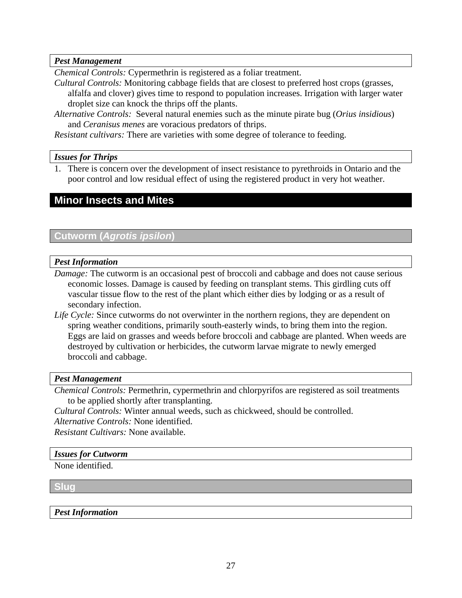## <span id="page-26-0"></span>*Pest Management*

*Chemical Controls:* Cypermethrin is registered as a foliar treatment.

- *Cultural Controls:* Monitoring cabbage fields that are closest to preferred host crops (grasses, alfalfa and clover) gives time to respond to population increases. Irrigation with larger water droplet size can knock the thrips off the plants.
- *Alternative Controls:* Several natural enemies such as the minute pirate bug (*Orius insidious*) and *Ceranisus menes* are voracious predators of thrips.

*Resistant cultivars:* There are varieties with some degree of tolerance to feeding.

## *Issues for Thrips*

1. There is concern over the development of insect resistance to pyrethroids in Ontario and the poor control and low residual effect of using the registered product in very hot weather.

## **Minor Insects and Mites**

## **Cutworm (***Agrotis ipsilon***)**

## *Pest Information*

- *Damage:* The cutworm is an occasional pest of broccoli and cabbage and does not cause serious economic losses. Damage is caused by feeding on transplant stems. This girdling cuts off vascular tissue flow to the rest of the plant which either dies by lodging or as a result of secondary infection.
- *Life Cycle:* Since cutworms do not overwinter in the northern regions, they are dependent on spring weather conditions, primarily south-easterly winds, to bring them into the region. Eggs are laid on grasses and weeds before broccoli and cabbage are planted. When weeds are destroyed by cultivation or herbicides, the cutworm larvae migrate to newly emerged broccoli and cabbage.

## *Pest Management*

*Chemical Controls:* Permethrin, cypermethrin and chlorpyrifos are registered as soil treatments to be applied shortly after transplanting.

*Cultural Controls:* Winter annual weeds, such as chickweed, should be controlled.

*Alternative Controls:* None identified.

*Resistant Cultivars:* None available.

## *Issues for Cutworm*

None identified.

**Slug** 

## *Pest Information*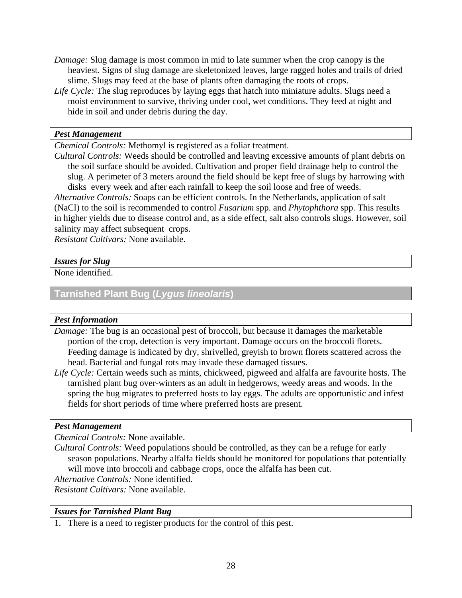- <span id="page-27-0"></span>*Damage:* Slug damage is most common in mid to late summer when the crop canopy is the heaviest. Signs of slug damage are skeletonized leaves, large ragged holes and trails of dried slime. Slugs may feed at the base of plants often damaging the roots of crops.
- *Life Cycle:* The slug reproduces by laying eggs that hatch into miniature adults. Slugs need a moist environment to survive, thriving under cool, wet conditions. They feed at night and hide in soil and under debris during the day.

#### *Pest Management*

*Chemical Controls:* Methomyl is registered as a foliar treatment.

*Cultural Controls:* Weeds should be controlled and leaving excessive amounts of plant debris on the soil surface should be avoided. Cultivation and proper field drainage help to control the slug. A perimeter of 3 meters around the field should be kept free of slugs by harrowing with disks every week and after each rainfall to keep the soil loose and free of weeds. *Alternative Controls:* Soaps can be efficient controls. In the Netherlands, application of salt (NaCl) to the soil is recommended to control *Fusarium* spp. and *Phytophthora* spp. This results in higher yields due to disease control and, as a side effect, salt also controls slugs. However, soil

salinity may affect subsequent crops.

*Resistant Cultivars:* None available.

## *Issues for Slug*

None identified.

## **Tarnished Plant Bug (***Lygus lineolaris***)**

## *Pest Information*

*Damage:* The bug is an occasional pest of broccoli, but because it damages the marketable portion of the crop, detection is very important. Damage occurs on the broccoli florets. Feeding damage is indicated by dry, shrivelled, greyish to brown florets scattered across the head. Bacterial and fungal rots may invade these damaged tissues.

*Life Cycle:* Certain weeds such as mints, chickweed, pigweed and alfalfa are favourite hosts. The tarnished plant bug over-winters as an adult in hedgerows, weedy areas and woods. In the spring the bug migrates to preferred hosts to lay eggs. The adults are opportunistic and infest fields for short periods of time where preferred hosts are present.

## *Pest Management*

*Chemical Controls:* None available.

*Cultural Controls:* Weed populations should be controlled, as they can be a refuge for early season populations. Nearby alfalfa fields should be monitored for populations that potentially will move into broccoli and cabbage crops, once the alfalfa has been cut. *Alternative Controls:* None identified.

*Resistant Cultivars:* None available.

## *Issues for Tarnished Plant Bug*

1. There is a need to register products for the control of this pest.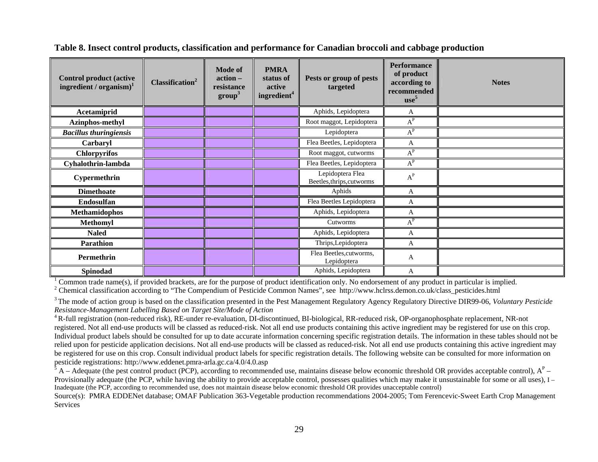| <b>Control product (active</b><br>ingredient / $organism$ <sup>1</sup> | Classification <sup>2</sup> | <b>Mode of</b><br>action -<br>resistance<br>$\mathbf{group}^3$ | <b>PMRA</b><br>status of<br>active<br>ingredient <sup>4</sup> | Pests or group of pests<br>targeted           | <b>Performance</b><br>of product<br>according to<br>recommended<br>use <sup>5</sup> | <b>Notes</b> |
|------------------------------------------------------------------------|-----------------------------|----------------------------------------------------------------|---------------------------------------------------------------|-----------------------------------------------|-------------------------------------------------------------------------------------|--------------|
| Acetamiprid                                                            |                             |                                                                |                                                               | Aphids, Lepidoptera                           | A                                                                                   |              |
| Azinphos-methyl                                                        |                             |                                                                |                                                               | Root maggot, Lepidoptera                      | $A^P$                                                                               |              |
| <b>Bacillus thuringiensis</b>                                          |                             |                                                                |                                                               | Lepidoptera                                   | $A^P$                                                                               |              |
| Carbaryl                                                               |                             |                                                                |                                                               | Flea Beetles, Lepidoptera                     | A                                                                                   |              |
| <b>Chlorpyrifos</b>                                                    |                             |                                                                |                                                               | Root maggot, cutworms                         | $A^P$                                                                               |              |
| Cyhalothrin-lambda                                                     |                             |                                                                |                                                               | Flea Beetles, Lepidoptera                     | $A^P$                                                                               |              |
| Cypermethrin                                                           |                             |                                                                |                                                               | Lepidoptera Flea<br>Beetles, thrips, cutworms | $\textbf{A}^\textbf{P}$                                                             |              |
| <b>Dimethoate</b>                                                      |                             |                                                                |                                                               | Aphids                                        | A                                                                                   |              |
| Endosulfan                                                             |                             |                                                                |                                                               | Flea Beetles Lepidoptera                      | А                                                                                   |              |
| <b>Methamidophos</b>                                                   |                             |                                                                |                                                               | Aphids, Lepidoptera                           | A                                                                                   |              |
| <b>Methomyl</b>                                                        |                             |                                                                |                                                               | Cutworms                                      | $A^P$                                                                               |              |
| <b>Naled</b>                                                           |                             |                                                                |                                                               | Aphids, Lepidoptera                           | A                                                                                   |              |
| <b>Parathion</b>                                                       |                             |                                                                |                                                               | Thrips, Lepidoptera                           | A                                                                                   |              |
| Permethrin                                                             |                             |                                                                |                                                               | Flea Beetles, cutworms,<br>Lepidoptera        | A                                                                                   |              |
| Spinodad                                                               |                             |                                                                |                                                               | Aphids, Lepidoptera                           | A                                                                                   |              |

**Table 8. Insect control products, classification and performance for Canadian broccoli and cabbage production** 

 $1$  Common trade name(s), if provided brackets, are for the purpose of product identification only. No endorsement of any product in particular is implied.

<sup>2</sup> Chemical classification according to "The Compendium of Pesticide Common Names", see http://www.hclrss.demon.co.uk/class\_pesticides.html

<sup>3</sup> The mode of action group is based on the classification presented in the Pest Management Regulatory Agency Regulatory Directive DIR99-06, *Voluntary Pesticide Resistance-Management Labelling B ased on Target Site/Mode of Action*

<sup>4</sup> R-full registration (non-reduced risk), RE-under re-evaluation, DI-discontinued, BI-biological, RR-reduced risk, OP-organophosphate replacement, NR-not registered. Not all end-use products will be classed as reduced-risk. Not all end use products containing this active ingredient may be registered for use on this crop. Individual product labels should be consulted for up to date accurate information concerning specific registration details. The information in these tables should not be relied upon for pesticide application decisions. Not all end-use products will be classed as reduced-risk. Not all end use products containing this active ingredient may be registered for use on this crop. Consult individual product labels for specific registration details. The following website can be consulted for more information on pesticide registratio ns: http://www.eddenet.p mra-arla.gc.ca/4.0/4.0.asp

 $^5$  A – Adequate (the pest control product (PCP), according to recommended use, maintains disease below economic threshold OR provides acceptable control),  $A^P$  – Provisionally adequate (the PCP, while having the ability to provide acceptable control, possesses qualities which may make it unsustainable for some or all uses), I – Inadequate (the PCP, according to recom mended use, does not maintain disease below economic threshold OR provides unacceptable control)

<span id="page-28-0"></span>Source(s): PMRA EDDENet database; OMAF Publication 363-Vegetable production recommen dations 2004-2005; Tom Ferencevic-Sweet Earth Crop Management Services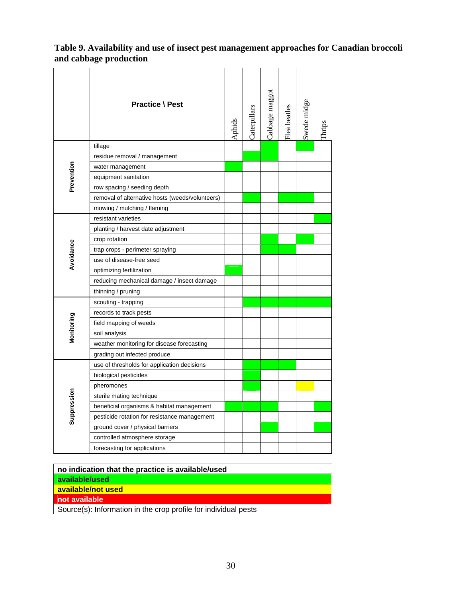## <span id="page-29-0"></span>**Table 9. Availability and use of insect pest management approaches for Canadian broccoli and cabbage production**

|             | <b>Practice \ Pest</b>                          | Aphids | Caterpillars | Cabbage maggot | Flea beatles | Swede midge | Thrips |
|-------------|-------------------------------------------------|--------|--------------|----------------|--------------|-------------|--------|
|             | tillage                                         |        |              |                |              |             |        |
|             | residue removal / management                    |        |              |                |              |             |        |
| Prevention  | water management                                |        |              |                |              |             |        |
|             | equipment sanitation                            |        |              |                |              |             |        |
|             | row spacing / seeding depth                     |        |              |                |              |             |        |
|             | removal of alternative hosts (weeds/volunteers) |        |              |                |              |             |        |
|             | mowing / mulching / flaming                     |        |              |                |              |             |        |
|             | resistant varieties                             |        |              |                |              |             |        |
|             | planting / harvest date adjustment              |        |              |                |              |             |        |
|             | crop rotation                                   |        |              |                |              |             |        |
|             | trap crops - perimeter spraying                 |        |              |                |              |             |        |
| Avoidance   | use of disease-free seed                        |        |              |                |              |             |        |
|             | optimizing fertilization                        |        |              |                |              |             |        |
|             | reducing mechanical damage / insect damage      |        |              |                |              |             |        |
|             | thinning / pruning                              |        |              |                |              |             |        |
|             | scouting - trapping                             |        |              |                |              |             |        |
|             | records to track pests                          |        |              |                |              |             |        |
|             | field mapping of weeds                          |        |              |                |              |             |        |
| Monitoring  | soil analysis                                   |        |              |                |              |             |        |
|             | weather monitoring for disease forecasting      |        |              |                |              |             |        |
|             | grading out infected produce                    |        |              |                |              |             |        |
|             | use of thresholds for application decisions     |        |              |                |              |             |        |
| Suppression | biological pesticides                           |        |              |                |              |             |        |
|             | pheromones                                      |        |              |                |              |             |        |
|             | sterile mating technique                        |        |              |                |              |             |        |
|             | beneficial organisms & habitat management       |        |              |                |              |             |        |
|             | pesticide rotation for resistance management    |        |              |                |              |             |        |
|             | ground cover / physical barriers                |        |              |                |              |             |        |
|             | controlled atmosphere storage                   |        |              |                |              |             |        |
|             | forecasting for applications                    |        |              |                |              |             |        |

| no indication that the practice is available/used               |
|-----------------------------------------------------------------|
| available/used                                                  |
| available/not used                                              |
| not available                                                   |
| Source(s): Information in the crop profile for individual pests |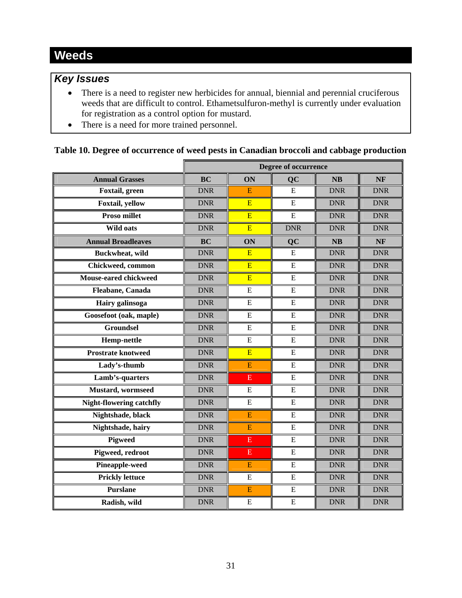## <span id="page-30-0"></span>*Key Issues*

- There is a need to register new herbicides for annual, biennial and perennial cruciferous weeds that are difficult to control. Ethametsulfuron-methyl is currently under evaluation for registration as a control option for mustard.
- There is a need for more trained personnel.

## **Table 10. Degree of occurrence of weed pests in Canadian broccoli and cabbage production**

|                                 | Degree of occurrence |                         |                |            |            |
|---------------------------------|----------------------|-------------------------|----------------|------------|------------|
| <b>Annual Grasses</b>           | <b>BC</b>            | ON                      | QC             | <b>NB</b>  | <b>NF</b>  |
| Foxtail, green                  | <b>DNR</b>           | Е                       | E              | <b>DNR</b> | <b>DNR</b> |
| Foxtail, yellow                 | <b>DNR</b>           | $\overline{E}$          | E              | <b>DNR</b> | <b>DNR</b> |
| Proso millet                    | <b>DNR</b>           | E                       | ${\bf E}$      | <b>DNR</b> | <b>DNR</b> |
| <b>Wild oats</b>                | <b>DNR</b>           | E                       | <b>DNR</b>     | <b>DNR</b> | <b>DNR</b> |
| <b>Annual Broadleaves</b>       | <b>BC</b>            | ON                      | QC             | NB         | NF         |
| <b>Buckwheat</b> , wild         | <b>DNR</b>           | E                       | ${\bf E}$      | <b>DNR</b> | <b>DNR</b> |
| Chickweed, common               | <b>DNR</b>           | E                       | E              | <b>DNR</b> | <b>DNR</b> |
| Mouse-eared chickweed           | <b>DNR</b>           | E                       | E              | <b>DNR</b> | <b>DNR</b> |
| Fleabane, Canada                | <b>DNR</b>           | E                       | E              | <b>DNR</b> | <b>DNR</b> |
| Hairy galinsoga                 | <b>DNR</b>           | E                       | E              | <b>DNR</b> | <b>DNR</b> |
| Goosefoot (oak, maple)          | <b>DNR</b>           | ${\bf E}$               | ${\bf E}$      | <b>DNR</b> | <b>DNR</b> |
| <b>Groundsel</b>                | <b>DNR</b>           | E                       | E              | <b>DNR</b> | <b>DNR</b> |
| <b>Hemp-nettle</b>              | <b>DNR</b>           | E                       | E              | <b>DNR</b> | <b>DNR</b> |
| <b>Prostrate knotweed</b>       | <b>DNR</b>           | E                       | ${\bf E}$      | <b>DNR</b> | <b>DNR</b> |
| Lady's-thumb                    | <b>DNR</b>           | $\overline{E}$          | E              | <b>DNR</b> | <b>DNR</b> |
| Lamb's-quarters                 | <b>DNR</b>           | E                       | E              | <b>DNR</b> | <b>DNR</b> |
| <b>Mustard</b> , wormseed       | <b>DNR</b>           | ${\bf E}$               | ${\bf E}$      | <b>DNR</b> | <b>DNR</b> |
| <b>Night-flowering catchfly</b> | <b>DNR</b>           | ${\bf E}$               | E              | <b>DNR</b> | <b>DNR</b> |
| Nightshade, black               | <b>DNR</b>           | $\overline{E}$          | E              | <b>DNR</b> | <b>DNR</b> |
| Nightshade, hairy               | <b>DNR</b>           | E                       | E              | <b>DNR</b> | <b>DNR</b> |
| <b>Pigweed</b>                  | <b>DNR</b>           | E                       | ${\bf E}$      | <b>DNR</b> | <b>DNR</b> |
| Pigweed, redroot                | <b>DNR</b>           | $\overline{\mathrm{E}}$ | E              | <b>DNR</b> | <b>DNR</b> |
| <b>Pineapple-weed</b>           | <b>DNR</b>           | E                       | ${\bf E}$      | <b>DNR</b> | <b>DNR</b> |
| <b>Prickly lettuce</b>          | <b>DNR</b>           | E                       | E              | <b>DNR</b> | <b>DNR</b> |
| <b>Purslane</b>                 | <b>DNR</b>           | E                       | $\overline{E}$ | <b>DNR</b> | <b>DNR</b> |
| Radish, wild                    | <b>DNR</b>           | E                       | E              | <b>DNR</b> | <b>DNR</b> |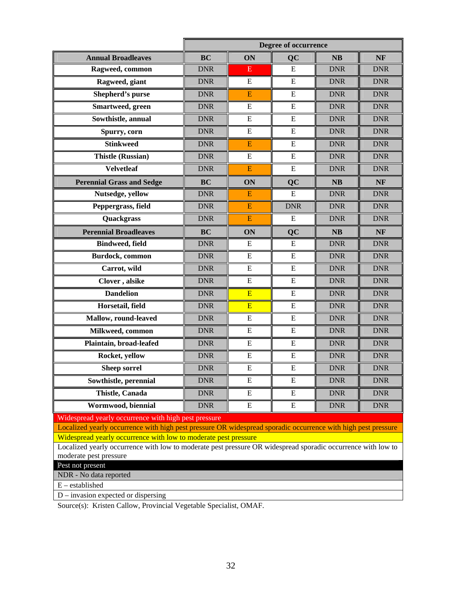|                                                                                                                                        | <b>Degree of occurrence</b> |                         |            |            |            |  |  |  |
|----------------------------------------------------------------------------------------------------------------------------------------|-----------------------------|-------------------------|------------|------------|------------|--|--|--|
| <b>Annual Broadleaves</b>                                                                                                              | <b>BC</b>                   | ON                      | <b>QC</b>  | <b>NB</b>  | NF         |  |  |  |
| Ragweed, common                                                                                                                        | <b>DNR</b>                  | Ε                       | E          | <b>DNR</b> | <b>DNR</b> |  |  |  |
| Ragweed, giant                                                                                                                         | <b>DNR</b>                  | E                       | E          | <b>DNR</b> | <b>DNR</b> |  |  |  |
| Shepherd's purse                                                                                                                       | <b>DNR</b>                  | E                       | E          | <b>DNR</b> | <b>DNR</b> |  |  |  |
| Smartweed, green                                                                                                                       | <b>DNR</b>                  | E                       | E          | <b>DNR</b> | <b>DNR</b> |  |  |  |
| Sowthistle, annual                                                                                                                     | <b>DNR</b>                  | E                       | E          | <b>DNR</b> | <b>DNR</b> |  |  |  |
| Spurry, corn                                                                                                                           | <b>DNR</b>                  | E                       | E          | <b>DNR</b> | <b>DNR</b> |  |  |  |
| <b>Stinkweed</b>                                                                                                                       | <b>DNR</b>                  | E                       | E          | <b>DNR</b> | <b>DNR</b> |  |  |  |
| <b>Thistle (Russian)</b>                                                                                                               | <b>DNR</b>                  | E                       | E          | <b>DNR</b> | <b>DNR</b> |  |  |  |
| <b>Velvetleaf</b>                                                                                                                      | <b>DNR</b>                  | $\overline{\mathbf{E}}$ | E          | <b>DNR</b> | <b>DNR</b> |  |  |  |
| <b>Perennial Grass and Sedge</b>                                                                                                       | <b>BC</b>                   | ON                      | QC         | <b>NB</b>  | <b>NF</b>  |  |  |  |
| Nutsedge, yellow                                                                                                                       | <b>DNR</b>                  | E                       | E          | <b>DNR</b> | <b>DNR</b> |  |  |  |
| Peppergrass, field                                                                                                                     | <b>DNR</b>                  | E                       | <b>DNR</b> | <b>DNR</b> | <b>DNR</b> |  |  |  |
| Quackgrass                                                                                                                             | <b>DNR</b>                  | ${\bf E}$               | E          | <b>DNR</b> | <b>DNR</b> |  |  |  |
| <b>Perennial Broadleaves</b>                                                                                                           | <b>BC</b>                   | ON                      | QC         | <b>NB</b>  | <b>NF</b>  |  |  |  |
| <b>Bindweed, field</b>                                                                                                                 | <b>DNR</b>                  | E                       | E          | <b>DNR</b> | <b>DNR</b> |  |  |  |
| <b>Burdock</b> , common                                                                                                                | <b>DNR</b>                  | E                       | E          | <b>DNR</b> | <b>DNR</b> |  |  |  |
| Carrot, wild                                                                                                                           | <b>DNR</b>                  | E                       | E          | <b>DNR</b> | <b>DNR</b> |  |  |  |
| Clover, alsike                                                                                                                         | <b>DNR</b>                  | E                       | E          | <b>DNR</b> | <b>DNR</b> |  |  |  |
| <b>Dandelion</b>                                                                                                                       | <b>DNR</b>                  | E                       | E          | <b>DNR</b> | <b>DNR</b> |  |  |  |
| Horsetail, field                                                                                                                       | <b>DNR</b>                  | E                       | E          | <b>DNR</b> | <b>DNR</b> |  |  |  |
| Mallow, round-leaved                                                                                                                   | <b>DNR</b>                  | E                       | E          | <b>DNR</b> | <b>DNR</b> |  |  |  |
| Milkweed, common                                                                                                                       | <b>DNR</b>                  | E                       | E          | <b>DNR</b> | <b>DNR</b> |  |  |  |
| Plaintain, broad-leafed                                                                                                                | <b>DNR</b>                  | ${\bf E}$               | E          | <b>DNR</b> | <b>DNR</b> |  |  |  |
| Rocket, yellow                                                                                                                         | <b>DNR</b>                  | E                       | E          | <b>DNR</b> | <b>DNR</b> |  |  |  |
| <b>Sheep sorrel</b>                                                                                                                    | <b>DNR</b>                  | ${\bf E}$               | E          | <b>DNR</b> | <b>DNR</b> |  |  |  |
| Sowthistle, perennial                                                                                                                  | <b>DNR</b>                  | Ε                       | E          | <b>DNR</b> | <b>DNR</b> |  |  |  |
| Thistle, Canada                                                                                                                        | <b>DNR</b>                  | E                       | Ε          | <b>DNR</b> | <b>DNR</b> |  |  |  |
| Wormwood, biennial                                                                                                                     | <b>DNR</b>                  | E                       | E          | <b>DNR</b> | <b>DNR</b> |  |  |  |
| Widespread yearly occurrence with high pest pressure                                                                                   |                             |                         |            |            |            |  |  |  |
| Localized yearly occurrence with high pest pressure OR widespread sporadic occurrence with high pest pressure                          |                             |                         |            |            |            |  |  |  |
| Widespread yearly occurrence with low to moderate pest pressure                                                                        |                             |                         |            |            |            |  |  |  |
| Localized yearly occurrence with low to moderate pest pressure OR widespread sporadic occurrence with low to<br>moderate pest pressure |                             |                         |            |            |            |  |  |  |
| Pest not present                                                                                                                       |                             |                         |            |            |            |  |  |  |
| NDR - No data reported                                                                                                                 |                             |                         |            |            |            |  |  |  |
| $\mathbf{E}-\mathbf{estabilished}$                                                                                                     |                             |                         |            |            |            |  |  |  |
| $D$ – invasion expected or dispersing                                                                                                  |                             |                         |            |            |            |  |  |  |

Source(s): Kristen Callow, Provincial Vegetable Specialist, OMAF.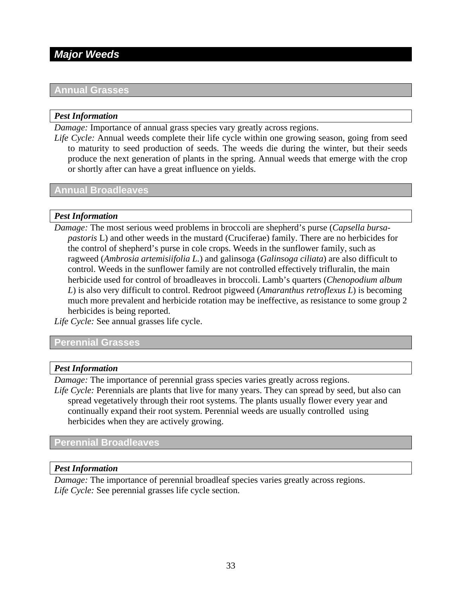## <span id="page-32-0"></span>*Major Weeds*

## **Annual Grasses**

#### *Pest Information*

*Damage:* Importance of annual grass species vary greatly across regions.

*Life Cycle:* Annual weeds complete their life cycle within one growing season, going from seed to maturity to seed production of seeds. The weeds die during the winter, but their seeds produce the next generation of plants in the spring. Annual weeds that emerge with the crop or shortly after can have a great influence on yields.

## **Annual Broadleaves**

#### *Pest Information*

*Damage:* The most serious weed problems in broccoli are shepherd's purse (*Capsella bursapastoris* L) and other weeds in the mustard (Cruciferae) family. There are no herbicides for the control of shepherd's purse in cole crops. Weeds in the sunflower family, such as ragweed (*Ambrosia artemisiifolia L.*) and galinsoga (*Galinsoga ciliata*) are also difficult to control. Weeds in the sunflower family are not controlled effectively trifluralin, the main herbicide used for control of broadleaves in broccoli. Lamb's quarters (*Chenopodium album L*) is also very difficult to control. Redroot pigweed (*Amaranthus retroflexus L*) is becoming much more prevalent and herbicide rotation may be ineffective, as resistance to some group 2 herbicides is being reported.

*Life Cycle:* See annual grasses life cycle.

## **Perennial Grasses**

#### *Pest Information*

*Damage:* The importance of perennial grass species varies greatly across regions.

*Life Cycle:* Perennials are plants that live for many years. They can spread by seed, but also can spread vegetatively through their root systems. The plants usually flower every year and continually expand their root system. Perennial weeds are usually controlled using herbicides when they are actively growing.

## **Perennial Broadleaves**

#### *Pest Information*

*Damage:* The importance of perennial broadleaf species varies greatly across regions. *Life Cycle:* See perennial grasses life cycle section.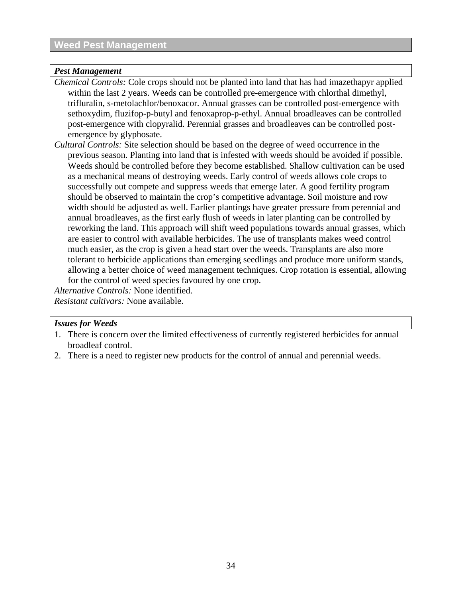## <span id="page-33-0"></span>*Pest Management*

*Chemical Controls:* Cole crops should not be planted into land that has had imazethapyr applied within the last 2 years. Weeds can be controlled pre-emergence with chlorthal dimethyl, trifluralin, s-metolachlor/benoxacor. Annual grasses can be controlled post-emergence with sethoxydim, fluzifop-p-butyl and fenoxaprop-p-ethyl. Annual broadleaves can be controlled post-emergence with clopyralid. Perennial grasses and broadleaves can be controlled postemergence by glyphosate.

*Cultural Controls:* Site selection should be based on the degree of weed occurrence in the previous season. Planting into land that is infested with weeds should be avoided if possible. Weeds should be controlled before they become established. Shallow cultivation can be used as a mechanical means of destroying weeds. Early control of weeds allows cole crops to successfully out compete and suppress weeds that emerge later. A good fertility program should be observed to maintain the crop's competitive advantage. Soil moisture and row width should be adjusted as well. Earlier plantings have greater pressure from perennial and annual broadleaves, as the first early flush of weeds in later planting can be controlled by reworking the land. This approach will shift weed populations towards annual grasses, which are easier to control with available herbicides. The use of transplants makes weed control much easier, as the crop is given a head start over the weeds. Transplants are also more tolerant to herbicide applications than emerging seedlings and produce more uniform stands, allowing a better choice of weed management techniques. Crop rotation is essential, allowing for the control of weed species favoured by one crop.

*Alternative Controls:* None identified. *Resistant cultivars:* None available.

## *Issues for Weeds*

- 1. There is concern over the limited effectiveness of currently registered herbicides for annual broadleaf control.
- 2. There is a need to register new products for the control of annual and perennial weeds.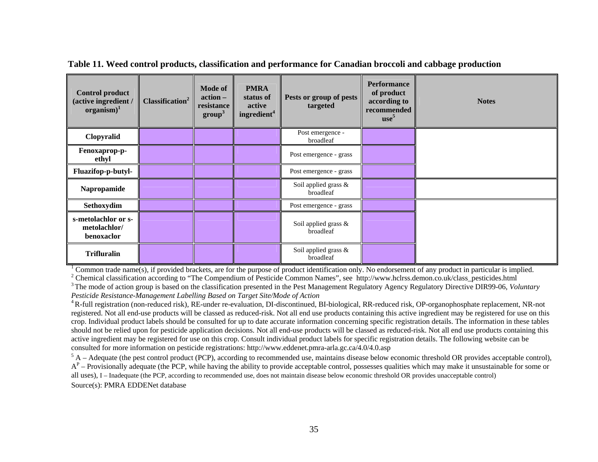| <b>Control product</b><br>(active ingredient /<br>$organism)^1$ | Classification <sup>2</sup> | <b>Mode of</b><br>action-<br>resistance<br>$\mathbf{group}^3$ | <b>PMRA</b><br>status of<br>active<br>ingredient <sup>4</sup> | Pests or group of pests<br>targeted | <b>Performance</b><br>of product<br>according to<br>recommended<br>use <sup>5</sup> | <b>Notes</b> |
|-----------------------------------------------------------------|-----------------------------|---------------------------------------------------------------|---------------------------------------------------------------|-------------------------------------|-------------------------------------------------------------------------------------|--------------|
| Clopyralid                                                      |                             |                                                               |                                                               | Post emergence -<br>broadleaf       |                                                                                     |              |
| Fenoxaprop-p-<br>ethyl                                          |                             |                                                               |                                                               | Post emergence - grass              |                                                                                     |              |
| Fluazifop-p-butyl-                                              |                             |                                                               |                                                               | Post emergence - grass              |                                                                                     |              |
| Napropamide                                                     |                             |                                                               |                                                               | Soil applied grass &<br>broadleaf   |                                                                                     |              |
| Sethoxydim                                                      |                             |                                                               |                                                               | Post emergence - grass              |                                                                                     |              |
| s-metolachlor or s-<br>metolachlor/<br>benoxaclor               |                             |                                                               |                                                               | Soil applied grass &<br>broadleaf   |                                                                                     |              |
| <b>Trifluralin</b>                                              |                             |                                                               |                                                               | Soil applied grass &<br>broadleaf   |                                                                                     |              |

**Table 11. Weed control products, classification and performance for Canadian broccoli and cabbage production** 

 $1$  Common trade name(s), if provided brackets, are for the purpose of product identification only. No endorsement of any product in particular is implied.

<sup>2</sup> Chemical classification according to "The Compendium of Pesticide Common Names", see http://www.hclrss.demon.co.uk/class\_pesticides.html <sup>3</sup> The mode of action group is based on the classification presented in the Pest Management Regulatory Agency Regulatory Directive DIR99-06, *Voluntary Pesticide Resista nce-Mana gemen<sup>t</sup> Labelling Based on Target Site/Mo de of Actio n*

<sup>4</sup> R-full registration (non-reduced risk), RE-under re-evaluation, DI-discontinued, BI-biological, RR-reduced risk, OP-organophosphate replacement, NR-not registered. Not all end-use products will be classed as reduced-risk. Not all end use products containing this active ingredient may be registered for use on this crop. Individual product labels should be consulted for up to date accurate information concerning specific registration details. The information in these tables should not be relied upon for pesticide application decisions. Not all end-use products will be classed as reduced-risk. Not all end use products containing this active i ngre dient may be registered for use on t his crop. Consult indivi d ual product labels for specific registration details. The followi ng website can be consulted for more information on pesticide registratio ns: http://www.eddenet.p mra-arla.gc.ca/4.0/4.0.asp

<span id="page-34-0"></span> $<sup>5</sup>$  A – Adequate (the pest control product (PCP), according to recommended use, maintains disease below economic threshold OR provides acceptable control),</sup>  $A^P$  – Provisionally adequate (the PCP, while having the ability to provide acceptable control, possesses qualities which may make it unsustainable for some or all uses), I – Inadequate (the PCP, according to recommended use, does not maintain disease below economic threshold OR provides unacceptable control) Source(s): PM RAEDDENet database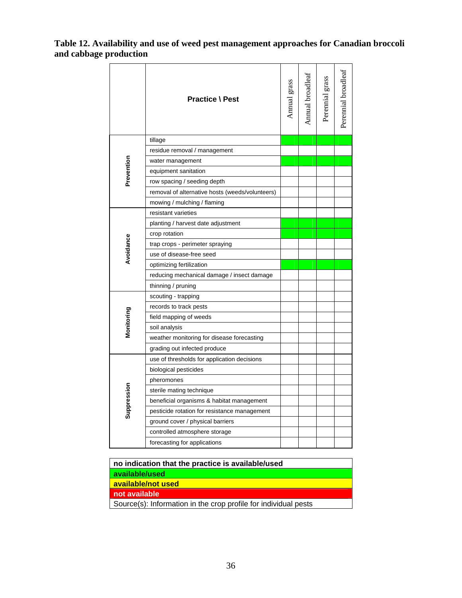## <span id="page-35-0"></span>**Table 12. Availability and use of weed pest management approaches for Canadian broccoli and cabbage production**

|             | <b>Practice \ Pest</b>                          | Annual grass | Annual broadleaf | Perennial grass | Perennial broadleaf |
|-------------|-------------------------------------------------|--------------|------------------|-----------------|---------------------|
|             | tillage                                         |              |                  |                 |                     |
|             | residue removal / management                    |              |                  |                 |                     |
|             | water management                                |              |                  |                 |                     |
| Prevention  | equipment sanitation                            |              |                  |                 |                     |
|             | row spacing / seeding depth                     |              |                  |                 |                     |
|             | removal of alternative hosts (weeds/volunteers) |              |                  |                 |                     |
|             | mowing / mulching / flaming                     |              |                  |                 |                     |
|             | resistant varieties                             |              |                  |                 |                     |
| Avoidance   | planting / harvest date adjustment              |              |                  |                 |                     |
|             | crop rotation                                   |              |                  |                 |                     |
|             | trap crops - perimeter spraying                 |              |                  |                 |                     |
|             | use of disease-free seed                        |              |                  |                 |                     |
|             | optimizing fertilization                        |              |                  |                 |                     |
|             | reducing mechanical damage / insect damage      |              |                  |                 |                     |
|             | thinning / pruning                              |              |                  |                 |                     |
|             | scouting - trapping                             |              |                  |                 |                     |
|             | records to track pests                          |              |                  |                 |                     |
|             | field mapping of weeds                          |              |                  |                 |                     |
| Monitoring  | soil analysis                                   |              |                  |                 |                     |
|             | weather monitoring for disease forecasting      |              |                  |                 |                     |
|             | grading out infected produce                    |              |                  |                 |                     |
|             | use of thresholds for application decisions     |              |                  |                 |                     |
| Suppression | biological pesticides                           |              |                  |                 |                     |
|             | pheromones                                      |              |                  |                 |                     |
|             | sterile mating technique                        |              |                  |                 |                     |
|             | beneficial organisms & habitat management       |              |                  |                 |                     |
|             | pesticide rotation for resistance management    |              |                  |                 |                     |
|             | ground cover / physical barriers                |              |                  |                 |                     |
|             | controlled atmosphere storage                   |              |                  |                 |                     |
|             | forecasting for applications                    |              |                  |                 |                     |
|             |                                                 |              |                  |                 |                     |

| no indication that the practice is available/used               |  |  |  |  |
|-----------------------------------------------------------------|--|--|--|--|
| available/used                                                  |  |  |  |  |
| available/not used                                              |  |  |  |  |
| not available                                                   |  |  |  |  |
| Source(s): Information in the crop profile for individual pests |  |  |  |  |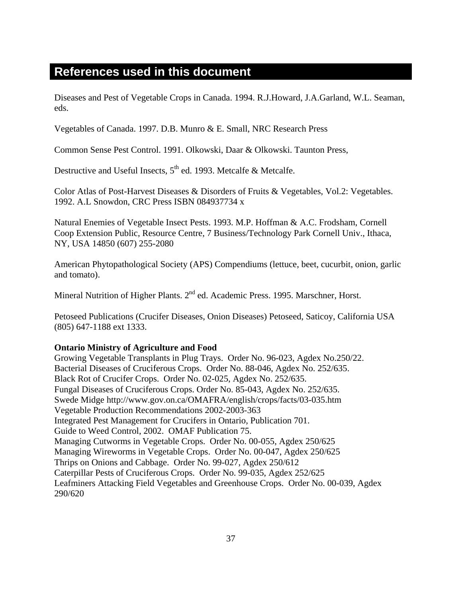## <span id="page-36-0"></span>**References used in this document**

Diseases and Pest of Vegetable Crops in Canada. 1994. R.J.Howard, J.A.Garland, W.L. Seaman, eds.

Vegetables of Canada. 1997. D.B. Munro & E. Small, NRC Research Press

Common Sense Pest Control. 1991. Olkowski, Daar & Olkowski. Taunton Press,

Destructive and Useful Insects,  $5<sup>th</sup>$  ed. 1993. Metcalfe & Metcalfe.

Color Atlas of Post-Harvest Diseases & Disorders of Fruits & Vegetables, Vol.2: Vegetables. 1992. A.L Snowdon, CRC Press ISBN 084937734 x

Natural Enemies of Vegetable Insect Pests. 1993. M.P. Hoffman & A.C. Frodsham, Cornell Coop Extension Public, Resource Centre, 7 Business/Technology Park Cornell Univ., Ithaca, NY, USA 14850 (607) 255-2080

American Phytopathological Society (APS) Compendiums (lettuce, beet, cucurbit, onion, garlic and tomato).

Mineral Nutrition of Higher Plants. 2<sup>nd</sup> ed. Academic Press. 1995. Marschner, Horst.

Petoseed Publications (Crucifer Diseases, Onion Diseases) Petoseed, Saticoy, California USA (805) 647-1188 ext 1333.

## **Ontario Ministry of Agriculture and Food**

Growing Vegetable Transplants in Plug Trays. Order No. 96-023, Agdex No.250/22. Bacterial Diseases of Cruciferous Crops. Order No. 88-046, Agdex No. 252/635. Black Rot of Crucifer Crops. Order No. 02-025, Agdex No. 252/635. Fungal Diseases of Cruciferous Crops. Order No. 85-043, Agdex No. 252/635. Swede Midge http://www.gov.on.ca/OMAFRA/english/crops/facts/03-035.htm Vegetable Production Recommendations 2002-2003-363 Integrated Pest Management for Crucifers in Ontario, Publication 701. Guide to Weed Control, 2002. OMAF Publication 75. Managing Cutworms in Vegetable Crops. Order No. 00-055, Agdex 250/625 Managing Wireworms in Vegetable Crops. Order No. 00-047, Agdex 250/625 Thrips on Onions and Cabbage. Order No. 99-027, Agdex 250/612 Caterpillar Pests of Cruciferous Crops. Order No. 99-035, Agdex 252/625 Leafminers Attacking Field Vegetables and Greenhouse Crops. Order No. 00-039, Agdex 290/620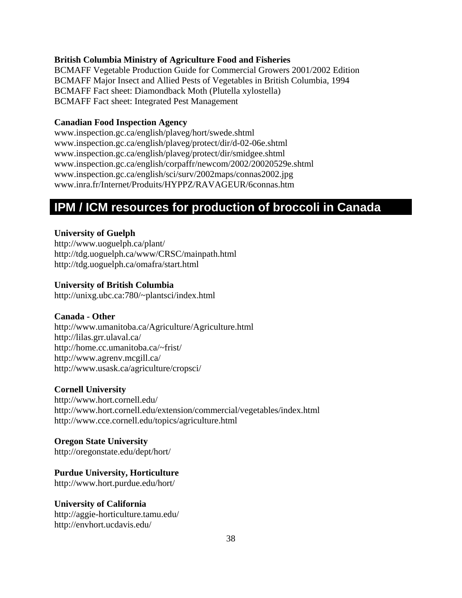## <span id="page-37-0"></span>**British Columbia Ministry of Agriculture Food and Fisheries**

BCMAFF Vegetable Production Guide for Commercial Growers 2001/2002 Edition BCMAFF Major Insect and Allied Pests of Vegetables in British Columbia, 1994 BCMAFF Fact sheet: Diamondback Moth (Plutella xylostella) BCMAFF Fact sheet: Integrated Pest Management

#### **Canadian Food Inspection Agency**

www.inspection.gc.ca/english/plaveg/hort/swede.shtml www.inspection.gc.ca/english/plaveg/protect/dir/d-02-06e.shtml www.inspection.gc.ca/english/plaveg/protect/dir/smidgee.shtml www.inspection.gc.ca/english/corpaffr/newcom/2002/20020529e.shtml www.inspection.gc.ca/english/sci/surv/2002maps/connas2002.jpg www.inra.fr/Internet/Produits/HYPPZ/RAVAGEUR/6connas.htm

## **IPM / ICM resources for production of broccoli in Canada**

#### **University of Guelph**

http://www.uoguelph.ca/plant/ http://tdg.uoguelph.ca/www/CRSC/mainpath.html http://tdg.uoguelph.ca/omafra/start.html

#### **University of British Columbia**

http://unixg.ubc.ca:780/~plantsci/index.html

#### **Canada - Other**

http://www.umanitoba.ca/Agriculture/Agriculture.html http://lilas.grr.ulaval.ca/ http://home.cc.umanitoba.ca/~frist/ http://www.agrenv.mcgill.ca/ http://www.usask.ca/agriculture/cropsci/

## **Cornell University**

http://www.hort.cornell.edu/ http://www.hort.cornell.edu/extension/commercial/vegetables/index.html http://www.cce.cornell.edu/topics/agriculture.html

#### **Oregon State University**

http://oregonstate.edu/dept/hort/

#### **Purdue University, Horticulture**

http://www.hort.purdue.edu/hort/

#### **University of California**

http://aggie-horticulture.tamu.edu/ http://envhort.ucdavis.edu/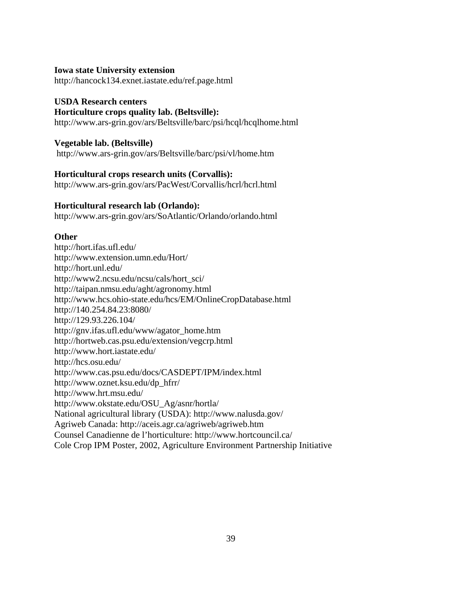#### **Iowa state University extension**

http://hancock134.exnet.iastate.edu/ref.page.html

#### **USDA Research centers**

#### **Horticulture crops quality lab. (Beltsville):**

http://www.ars-grin.gov/ars/Beltsville/barc/psi/hcql/hcqlhome.html

#### **Vegetable lab. (Beltsville)**

http://www.ars-grin.gov/ars/Beltsville/barc/psi/vl/home.htm

## **Horticultural crops research units (Corvallis):**

http://www.ars-grin.gov/ars/PacWest/Corvallis/hcrl/hcrl.html

#### **Horticultural research lab (Orlando):**

http://www.ars-grin.gov/ars/SoAtlantic/Orlando/orlando.html

#### **Other**

http://hort.ifas.ufl.edu/ http://www.extension.umn.edu/Hort/ http://hort.unl.edu/ http://www2.ncsu.edu/ncsu/cals/hort\_sci/ http://taipan.nmsu.edu/aght/agronomy.html http://www.hcs.ohio-state.edu/hcs/EM/OnlineCropDatabase.html http://140.254.84.23:8080/ http://129.93.226.104/ http://gnv.ifas.ufl.edu/www/agator\_home.htm http://hortweb.cas.psu.edu/extension/vegcrp.html http://www.hort.iastate.edu/ http://hcs.osu.edu/ http://www.cas.psu.edu/docs/CASDEPT/IPM/index.html http://www.oznet.ksu.edu/dp\_hfrr/ http://www.hrt.msu.edu/ http://www.okstate.edu/OSU\_Ag/asnr/hortla/ National agricultural library (USDA): http://www.nalusda.gov/ Agriweb Canada: http://aceis.agr.ca/agriweb/agriweb.htm Counsel Canadienne de l'horticulture: http://www.hortcouncil.ca/ Cole Crop IPM Poster, 2002, Agriculture Environment Partnership Initiative